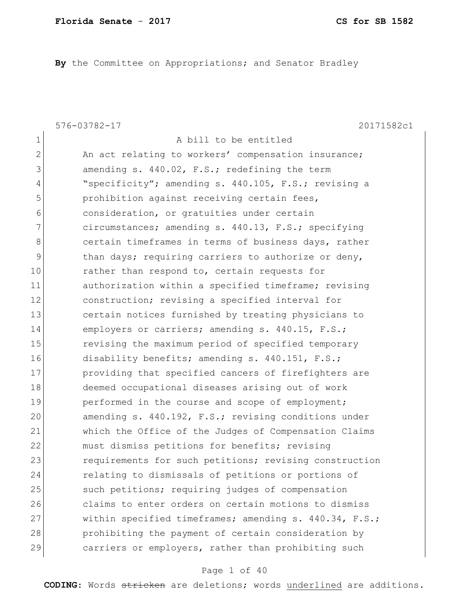**By** the Committee on Appropriations; and Senator Bradley

576-03782-17 20171582c1

1 a bill to be entitled 2 An act relating to workers' compensation insurance; 3 amending s. 440.02, F.S.; redefining the term 4 "specificity"; amending s. 440.105, F.S.; revising a 5 **prohibition** against receiving certain fees, 6 6 consideration, or gratuities under certain 7 circumstances; amending s. 440.13, F.S.; specifying 8 certain timeframes in terms of business days, rather 9 bethan days; requiring carriers to authorize or deny, 10 rather than respond to, certain requests for 11 authorization within a specified timeframe; revising 12 construction; revising a specified interval for 13 certain notices furnished by treating physicians to 14 employers or carriers; amending s. 440.15, F.S.; 15 revising the maximum period of specified temporary 16 disability benefits; amending s. 440.151, F.S.; 17 providing that specified cancers of firefighters are 18 deemed occupational diseases arising out of work 19 performed in the course and scope of employment; 20 amending s. 440.192, F.S.; revising conditions under 21 which the Office of the Judges of Compensation Claims 22 must dismiss petitions for benefits; revising 23 requirements for such petitions; revising construction 24 relating to dismissals of petitions or portions of 25 Such petitions; requiring judges of compensation 26 claims to enter orders on certain motions to dismiss 27 within specified timeframes; amending s. 440.34, F.S.; 28 prohibiting the payment of certain consideration by 29 carriers or employers, rather than prohibiting such

#### Page 1 of 40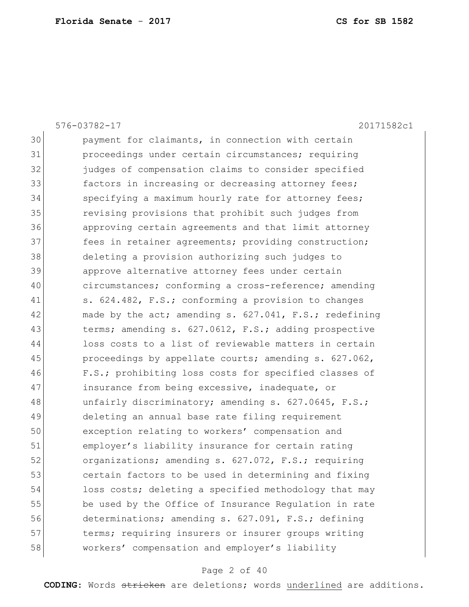|    | 576-03782-17<br>20171582c1                             |
|----|--------------------------------------------------------|
| 30 | payment for claimants, in connection with certain      |
| 31 | proceedings under certain circumstances; requiring     |
| 32 | judges of compensation claims to consider specified    |
| 33 | factors in increasing or decreasing attorney fees;     |
| 34 | specifying a maximum hourly rate for attorney fees;    |
| 35 | revising provisions that prohibit such judges from     |
| 36 | approving certain agreements and that limit attorney   |
| 37 | fees in retainer agreements; providing construction;   |
| 38 | deleting a provision authorizing such judges to        |
| 39 | approve alternative attorney fees under certain        |
| 40 | circumstances; conforming a cross-reference; amending  |
| 41 | s. 624.482, F.S.; conforming a provision to changes    |
| 42 | made by the act; amending s. 627.041, F.S.; redefining |
| 43 | terms; amending s. 627.0612, F.S.; adding prospective  |
| 44 | loss costs to a list of reviewable matters in certain  |
| 45 | proceedings by appellate courts; amending s. 627.062,  |
| 46 | F.S.; prohibiting loss costs for specified classes of  |
| 47 | insurance from being excessive, inadequate, or         |
| 48 | unfairly discriminatory; amending s. 627.0645, F.S.;   |
| 49 | deleting an annual base rate filing requirement        |
| 50 | exception relating to workers' compensation and        |
| 51 | employer's liability insurance for certain rating      |
| 52 | organizations; amending s. 627.072, F.S.; requiring    |
| 53 | certain factors to be used in determining and fixing   |
| 54 | loss costs; deleting a specified methodology that may  |
| 55 | be used by the Office of Insurance Regulation in rate  |
| 56 | determinations; amending s. 627.091, F.S.; defining    |
| 57 | terms; requiring insurers or insurer groups writing    |
| 58 | workers' compensation and employer's liability         |
|    |                                                        |

# Page 2 of 40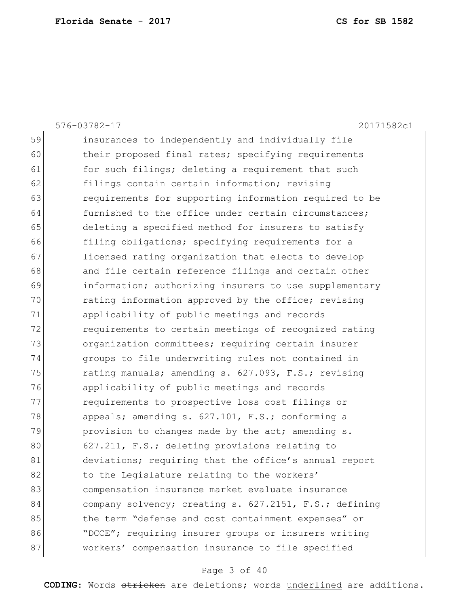|    | $576 - 03782 - 17$<br>20171582c1                       |
|----|--------------------------------------------------------|
| 59 | insurances to independently and individually file      |
| 60 | their proposed final rates; specifying requirements    |
| 61 | for such filings; deleting a requirement that such     |
| 62 | filings contain certain information; revising          |
| 63 | requirements for supporting information required to be |
| 64 | furnished to the office under certain circumstances;   |
| 65 | deleting a specified method for insurers to satisfy    |
| 66 | filing obligations; specifying requirements for a      |
| 67 | licensed rating organization that elects to develop    |
| 68 | and file certain reference filings and certain other   |
| 69 | information; authorizing insurers to use supplementary |
| 70 | rating information approved by the office; revising    |
| 71 | applicability of public meetings and records           |
| 72 | requirements to certain meetings of recognized rating  |
| 73 | organization committees; requiring certain insurer     |
| 74 | groups to file underwriting rules not contained in     |
| 75 | rating manuals; amending s. 627.093, F.S.; revising    |
| 76 | applicability of public meetings and records           |
| 77 | requirements to prospective loss cost filings or       |
| 78 | appeals; amending s. 627.101, F.S.; conforming a       |
| 79 | provision to changes made by the act; amending s.      |
| 80 | 627.211, F.S.; deleting provisions relating to         |
| 81 | deviations; requiring that the office's annual report  |
| 82 | to the Legislature relating to the workers'            |
| 83 | compensation insurance market evaluate insurance       |
| 84 | company solvency; creating s. 627.2151, F.S.; defining |
| 85 | the term "defense and cost containment expenses" or    |
| 86 | "DCCE"; requiring insurer groups or insurers writing   |
| 87 | workers' compensation insurance to file specified      |
|    |                                                        |

# Page 3 of 40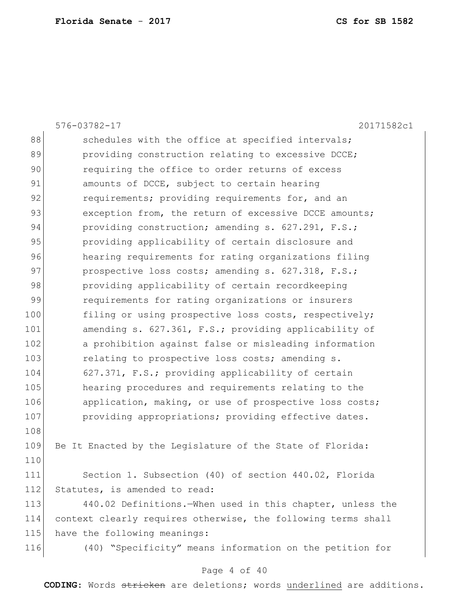|     | 576-03782-17<br>20171582c1                                    |
|-----|---------------------------------------------------------------|
| 88  | schedules with the office at specified intervals;             |
| 89  | providing construction relating to excessive DCCE;            |
| 90  | requiring the office to order returns of excess               |
| 91  | amounts of DCCE, subject to certain hearing                   |
| 92  | requirements; providing requirements for, and an              |
| 93  | exception from, the return of excessive DCCE amounts;         |
| 94  | providing construction; amending s. 627.291, F.S.;            |
| 95  | providing applicability of certain disclosure and             |
| 96  | hearing requirements for rating organizations filing          |
| 97  | prospective loss costs; amending s. 627.318, F.S.;            |
| 98  | providing applicability of certain recordkeeping              |
| 99  | requirements for rating organizations or insurers             |
| 100 | filing or using prospective loss costs, respectively;         |
| 101 | amending s. 627.361, F.S.; providing applicability of         |
| 102 | a prohibition against false or misleading information         |
| 103 | relating to prospective loss costs; amending s.               |
| 104 | 627.371, F.S.; providing applicability of certain             |
| 105 | hearing procedures and requirements relating to the           |
| 106 | application, making, or use of prospective loss costs;        |
| 107 | providing appropriations; providing effective dates.          |
| 108 |                                                               |
| 109 | Be It Enacted by the Legislature of the State of Florida:     |
| 110 |                                                               |
| 111 | Section 1. Subsection (40) of section 440.02, Florida         |
| 112 | Statutes, is amended to read:                                 |
| 113 | 440.02 Definitions. When used in this chapter, unless the     |
| 114 | context clearly requires otherwise, the following terms shall |
| 115 | have the following meanings:                                  |
| 116 | (40) "Specificity" means information on the petition for      |
|     |                                                               |

# Page 4 of 40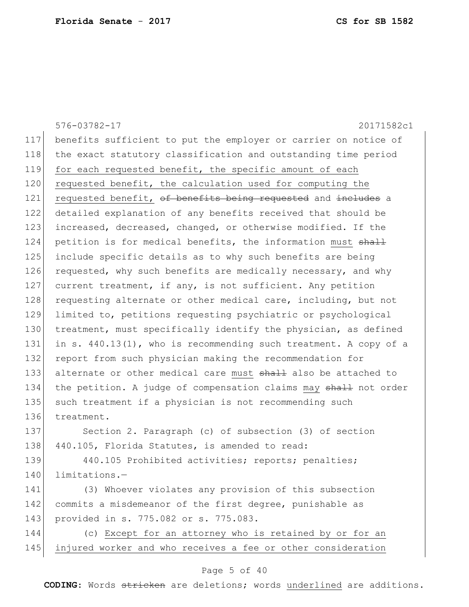|     | 576-03782-17<br>20171582c1                                       |
|-----|------------------------------------------------------------------|
| 117 | benefits sufficient to put the employer or carrier on notice of  |
| 118 | the exact statutory classification and outstanding time period   |
| 119 | for each requested benefit, the specific amount of each          |
| 120 | requested benefit, the calculation used for computing the        |
| 121 | requested benefit, of benefits being requested and includes a    |
| 122 | detailed explanation of any benefits received that should be     |
| 123 | increased, decreased, changed, or otherwise modified. If the     |
| 124 | petition is for medical benefits, the information must shall     |
| 125 | include specific details as to why such benefits are being       |
| 126 | requested, why such benefits are medically necessary, and why    |
| 127 | current treatment, if any, is not sufficient. Any petition       |
| 128 | requesting alternate or other medical care, including, but not   |
| 129 | limited to, petitions requesting psychiatric or psychological    |
| 130 | treatment, must specifically identify the physician, as defined  |
| 131 | in s. 440.13(1), who is recommending such treatment. A copy of a |
| 132 | report from such physician making the recommendation for         |
| 133 | alternate or other medical care must shall also be attached to   |
| 134 | the petition. A judge of compensation claims may shall not order |
| 135 | such treatment if a physician is not recommending such           |
| 136 | treatment.                                                       |
| 137 | Section 2. Paragraph (c) of subsection (3) of section            |
| 138 | 440.105, Florida Statutes, is amended to read:                   |
| 139 | 440.105 Prohibited activities; reports; penalties;               |
| 140 | limitations.-                                                    |
| 141 | (3) Whoever violates any provision of this subsection            |
| 142 | commits a misdemeanor of the first degree, punishable as         |
| 143 | provided in s. 775.082 or s. 775.083.                            |
| 144 | (c) Except for an attorney who is retained by or for an          |
| 145 | injured worker and who receives a fee or other consideration     |
|     | Page 5 of 40                                                     |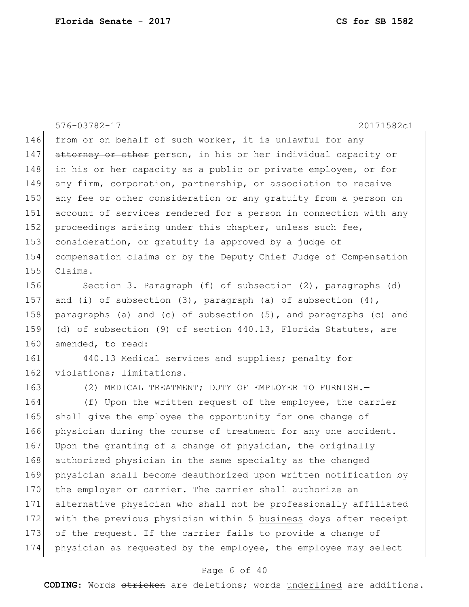|     | 20171582c1<br>576-03782-17                                          |
|-----|---------------------------------------------------------------------|
| 146 | from or on behalf of such worker, it is unlawful for any            |
| 147 | attorney or other person, in his or her individual capacity or      |
| 148 | in his or her capacity as a public or private employee, or for      |
| 149 | any firm, corporation, partnership, or association to receive       |
| 150 | any fee or other consideration or any gratuity from a person on     |
| 151 | account of services rendered for a person in connection with any    |
| 152 | proceedings arising under this chapter, unless such fee,            |
| 153 | consideration, or gratuity is approved by a judge of                |
| 154 | compensation claims or by the Deputy Chief Judge of Compensation    |
| 155 | Claims.                                                             |
| 156 | Section 3. Paragraph (f) of subsection (2), paragraphs (d)          |
| 157 | and (i) of subsection $(3)$ , paragraph $(a)$ of subsection $(4)$ , |
| 158 | paragraphs (a) and (c) of subsection (5), and paragraphs (c) and    |
| 159 | (d) of subsection (9) of section 440.13, Florida Statutes, are      |
| 160 | amended, to read:                                                   |
| 161 | 440.13 Medical services and supplies; penalty for                   |
| 162 | violations; limitations.-                                           |
| 163 | (2) MEDICAL TREATMENT; DUTY OF EMPLOYER TO FURNISH. -               |
| 164 | (f) Upon the written request of the employee, the carrier           |
| 165 | shall give the employee the opportunity for one change of           |
| 166 | physician during the course of treatment for any one accident.      |
| 167 | Upon the granting of a change of physician, the originally          |
| 168 | authorized physician in the same specialty as the changed           |
| 169 | physician shall become deauthorized upon written notification by    |
| 170 | the employer or carrier. The carrier shall authorize an             |
| 171 | alternative physician who shall not be professionally affiliated    |
| 172 | with the previous physician within 5 business days after receipt    |
| 173 | of the request. If the carrier fails to provide a change of         |
| 174 | physician as requested by the employee, the employee may select     |

# Page 6 of 40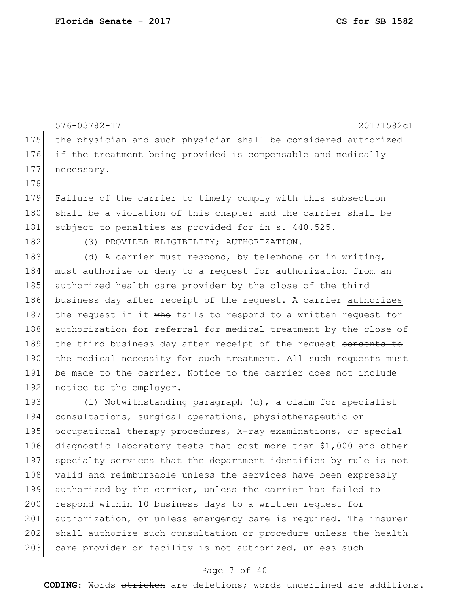576-03782-17 20171582c1 175 | the physician and such physician shall be considered authorized 176 if the treatment being provided is compensable and medically 177 necessary. 178 179 Failure of the carrier to timely comply with this subsection 180 shall be a violation of this chapter and the carrier shall be 181 subject to penalties as provided for in s. 440.525. 182 (3) PROVIDER ELIGIBILITY; AUTHORIZATION.

183 (d) A carrier must respond, by telephone or in writing, 184 must authorize or deny  $\leftrightarrow$  a request for authorization from an 185 authorized health care provider by the close of the third 186 business day after receipt of the request. A carrier authorizes 187 | the request if it who fails to respond to a written request for 188 authorization for referral for medical treatment by the close of 189 the third business day after receipt of the request consents to 190 the medical necessity for such treatment. All such requests must 191 be made to the carrier. Notice to the carrier does not include 192 notice to the employer.

193 (i) Notwithstanding paragraph (d), a claim for specialist 194 consultations, surgical operations, physiotherapeutic or 195 occupational therapy procedures, X-ray examinations, or special 196 diagnostic laboratory tests that cost more than \$1,000 and other 197 specialty services that the department identifies by rule is not 198 valid and reimbursable unless the services have been expressly 199 authorized by the carrier, unless the carrier has failed to 200 respond within 10 business days to a written request for 201 authorization, or unless emergency care is required. The insurer 202 shall authorize such consultation or procedure unless the health 203 care provider or facility is not authorized, unless such

#### Page 7 of 40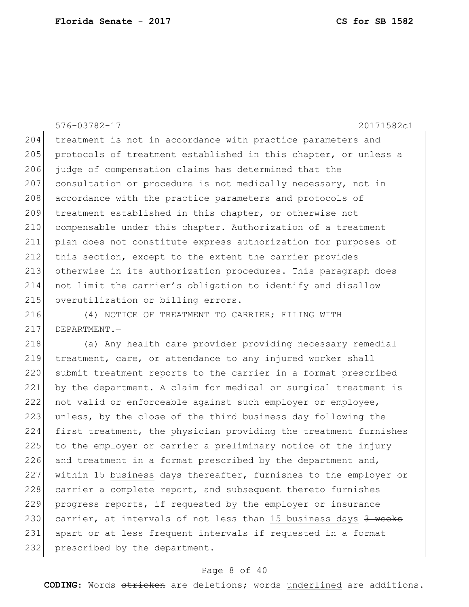```
576-03782-17 20171582c1
204 treatment is not in accordance with practice parameters and 
205 protocols of treatment established in this chapter, or unless a
206 judge of compensation claims has determined that the 
207 consultation or procedure is not medically necessary, not in
208 accordance with the practice parameters and protocols of
209 treatment established in this chapter, or otherwise not 
210 compensable under this chapter. Authorization of a treatment 
211 plan does not constitute express authorization for purposes of 
212 this section, except to the extent the carrier provides 
213 otherwise in its authorization procedures. This paragraph does 
214 not limit the carrier's obligation to identify and disallow 
215 overutilization or billing errors.
```
216 (4) NOTICE OF TREATMENT TO CARRIER; FILING WITH 217 DEPARTMENT.

218 (a) Any health care provider providing necessary remedial 219 treatment, care, or attendance to any injured worker shall 220 submit treatment reports to the carrier in a format prescribed 221 by the department. A claim for medical or surgical treatment is 222 not valid or enforceable against such employer or employee, 223 unless, by the close of the third business day following the 224 first treatment, the physician providing the treatment furnishes 225 to the employer or carrier a preliminary notice of the injury 226 and treatment in a format prescribed by the department and, 227 within 15 business days thereafter, furnishes to the employer or 228 carrier a complete report, and subsequent thereto furnishes 229 progress reports, if requested by the employer or insurance 230 carrier, at intervals of not less than 15 business days  $3$  weeks 231 apart or at less frequent intervals if requested in a format 232 prescribed by the department.

#### Page 8 of 40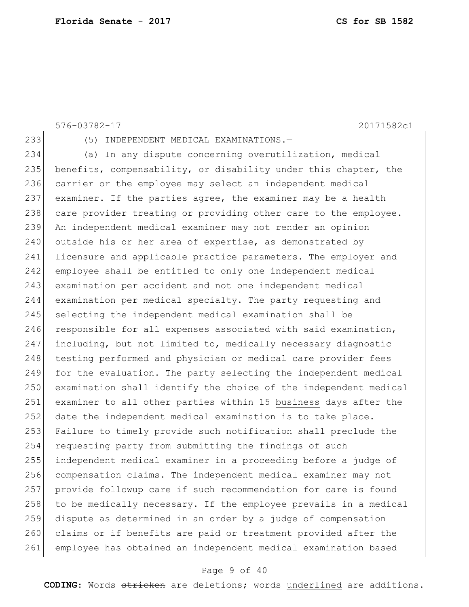```
233 (5) INDEPENDENT MEDICAL EXAMINATIONS.—
234 (a) In any dispute concerning overutilization, medical
235 benefits, compensability, or disability under this chapter, the
236 carrier or the employee may select an independent medical
237 examiner. If the parties agree, the examiner may be a health 
238 care provider treating or providing other care to the employee.
239 An independent medical examiner may not render an opinion 
240 outside his or her area of expertise, as demonstrated by
241 licensure and applicable practice parameters. The employer and 
242 employee shall be entitled to only one independent medical 
243 examination per accident and not one independent medical 
244 examination per medical specialty. The party requesting and 
245 selecting the independent medical examination shall be
246 responsible for all expenses associated with said examination,
247 including, but not limited to, medically necessary diagnostic 
248 testing performed and physician or medical care provider fees
249 for the evaluation. The party selecting the independent medical 
250 examination shall identify the choice of the independent medical
251 examiner to all other parties within 15 business days after the 
252 date the independent medical examination is to take place.
253 Failure to timely provide such notification shall preclude the 
254 requesting party from submitting the findings of such 
255 independent medical examiner in a proceeding before a judge of 
256 compensation claims. The independent medical examiner may not 
257 provide followup care if such recommendation for care is found 
258 to be medically necessary. If the employee prevails in a medical
259 dispute as determined in an order by a judge of compensation 
260 claims or if benefits are paid or treatment provided after the
261 employee has obtained an independent medical examination based
```
576-03782-17 20171582c1

### Page 9 of 40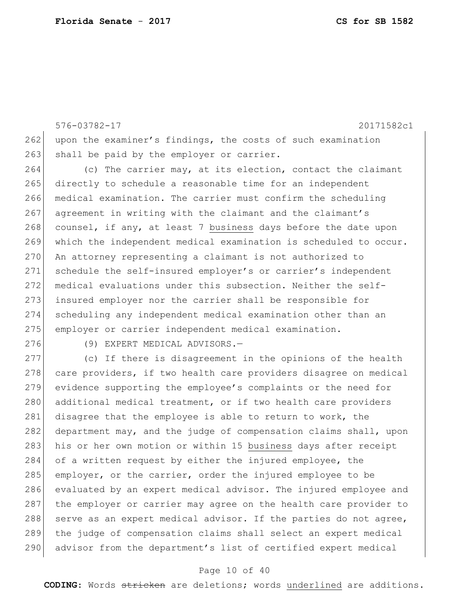576-03782-17 20171582c1 262 upon the examiner's findings, the costs of such examination 263 shall be paid by the employer or carrier.

264 (c) The carrier may, at its election, contact the claimant 265 directly to schedule a reasonable time for an independent 266 medical examination. The carrier must confirm the scheduling 267 agreement in writing with the claimant and the claimant's 268 counsel, if any, at least 7 business days before the date upon 269 which the independent medical examination is scheduled to occur. 270 An attorney representing a claimant is not authorized to 271 schedule the self-insured employer's or carrier's independent 272 medical evaluations under this subsection. Neither the self-273 insured employer nor the carrier shall be responsible for 274 scheduling any independent medical examination other than an 275 employer or carrier independent medical examination.

276 (9) EXPERT MEDICAL ADVISORS.

277 (c) If there is disagreement in the opinions of the health 278 care providers, if two health care providers disagree on medical 279 evidence supporting the employee's complaints or the need for 280 additional medical treatment, or if two health care providers 281 disagree that the employee is able to return to work, the 282 department may, and the judge of compensation claims shall, upon 283 his or her own motion or within 15 business days after receipt 284 of a written request by either the injured employee, the 285 employer, or the carrier, order the injured employee to be 286 evaluated by an expert medical advisor. The injured employee and 287 the employer or carrier may agree on the health care provider to 288 serve as an expert medical advisor. If the parties do not agree, 289 the judge of compensation claims shall select an expert medical 290 advisor from the department's list of certified expert medical

#### Page 10 of 40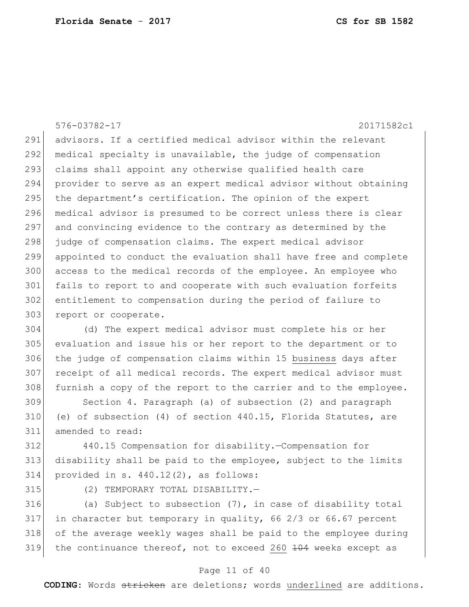576-03782-17 20171582c1 291 advisors. If a certified medical advisor within the relevant 292 medical specialty is unavailable, the judge of compensation 293 claims shall appoint any otherwise qualified health care 294 provider to serve as an expert medical advisor without obtaining 295 the department's certification. The opinion of the expert 296 medical advisor is presumed to be correct unless there is clear 297 and convincing evidence to the contrary as determined by the 298 judge of compensation claims. The expert medical advisor 299 appointed to conduct the evaluation shall have free and complete 300 access to the medical records of the employee. An employee who 301 fails to report to and cooperate with such evaluation forfeits 302 entitlement to compensation during the period of failure to 303 report or cooperate. 304 (d) The expert medical advisor must complete his or her 305 evaluation and issue his or her report to the department or to 306 the judge of compensation claims within 15 business days after 307 receipt of all medical records. The expert medical advisor must 308 furnish a copy of the report to the carrier and to the employee. 309 Section 4. Paragraph (a) of subsection (2) and paragraph

310 (e) of subsection (4) of section 440.15, Florida Statutes, are 311 amended to read:

312 440.15 Compensation for disability.—Compensation for 313 disability shall be paid to the employee, subject to the limits 314 provided in s.  $440.12(2)$ , as follows:

315 (2) TEMPORARY TOTAL DISABILITY.

316 (a) Subject to subsection  $(7)$ , in case of disability total 317 in character but temporary in quality, 66 2/3 or 66.67 percent 318 of the average weekly wages shall be paid to the employee during 319 the continuance thereof, not to exceed 260  $\frac{104}{104}$  weeks except as

#### Page 11 of 40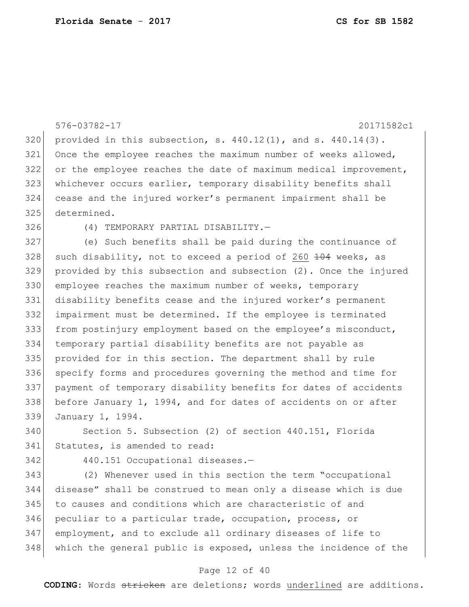```
576-03782-17 20171582c1
320 provided in this subsection, s. 440.12(1), and s. 440.14(3).
321 Once the employee reaches the maximum number of weeks allowed, 
322 or the employee reaches the date of maximum medical improvement, 
323 whichever occurs earlier, temporary disability benefits shall 
324 cease and the injured worker's permanent impairment shall be 
325 determined.
326 (4) TEMPORARY PARTIAL DISABILITY.—
327 (e) Such benefits shall be paid during the continuance of 
328 such disability, not to exceed a period of 260 \frac{104}{104} weeks, as
329 provided by this subsection and subsection (2). Once the injured 
330 employee reaches the maximum number of weeks, temporary
331 disability benefits cease and the injured worker's permanent 
332 impairment must be determined. If the employee is terminated 
333 from postinjury employment based on the employee's misconduct, 
334 temporary partial disability benefits are not payable as 
335 provided for in this section. The department shall by rule 
336 specify forms and procedures governing the method and time for 
337 payment of temporary disability benefits for dates of accidents 
338 before January 1, 1994, and for dates of accidents on or after 
339 January 1, 1994.
340 Section 5. Subsection (2) of section 440.151, Florida 
341 Statutes, is amended to read:
342 440.151 Occupational diseases.—
343 (2) Whenever used in this section the term "occupational
```
 disease" shall be construed to mean only a disease which is due to causes and conditions which are characteristic of and peculiar to a particular trade, occupation, process, or employment, and to exclude all ordinary diseases of life to 348 which the general public is exposed, unless the incidence of the

#### Page 12 of 40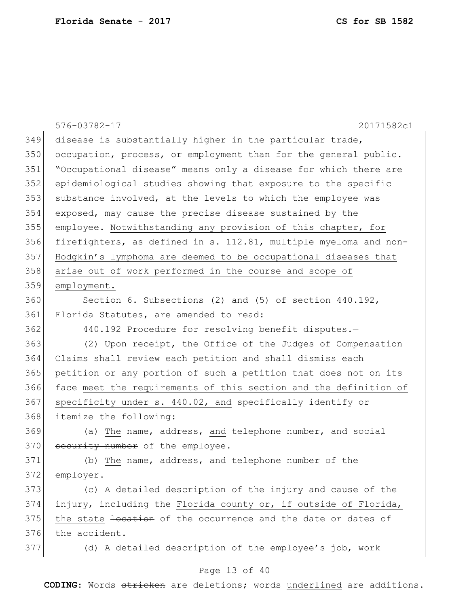|     | 576-03782-17<br>20171582c1                                       |
|-----|------------------------------------------------------------------|
| 349 | disease is substantially higher in the particular trade,         |
| 350 | occupation, process, or employment than for the general public.  |
| 351 | "Occupational disease" means only a disease for which there are  |
| 352 | epidemiological studies showing that exposure to the specific    |
| 353 | substance involved, at the levels to which the employee was      |
| 354 | exposed, may cause the precise disease sustained by the          |
| 355 | employee. Notwithstanding any provision of this chapter, for     |
| 356 | firefighters, as defined in s. 112.81, multiple myeloma and non- |
| 357 | Hodgkin's lymphoma are deemed to be occupational diseases that   |
| 358 | arise out of work performed in the course and scope of           |
| 359 | employment.                                                      |
| 360 | Section 6. Subsections (2) and (5) of section $440.192$ ,        |
| 361 | Florida Statutes, are amended to read:                           |
| 362 | 440.192 Procedure for resolving benefit disputes.-               |
| 363 | (2) Upon receipt, the Office of the Judges of Compensation       |
| 364 | Claims shall review each petition and shall dismiss each         |
| 365 | petition or any portion of such a petition that does not on its  |
| 366 | face meet the requirements of this section and the definition of |
| 367 | specificity under s. 440.02, and specifically identify or        |
| 368 | itemize the following:                                           |
| 369 | (a) The name, address, and telephone number, and social          |
| 370 | security number of the employee.                                 |
| 371 | (b) The name, address, and telephone number of the               |
| 372 | employer.                                                        |
| 373 | (c) A detailed description of the injury and cause of the        |
| 374 | injury, including the Florida county or, if outside of Florida,  |
| 375 | the state hovestion of the occurrence and the date or dates of   |
| 376 | the accident.                                                    |
| 377 | (d) A detailed description of the employee's job, work           |
|     | Page 13 of 40                                                    |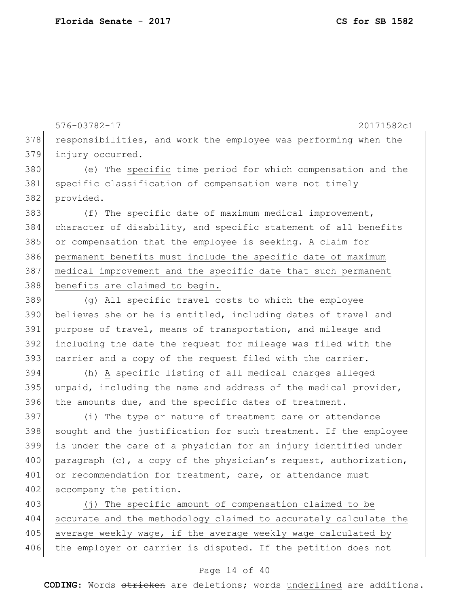576-03782-17 20171582c1 378 responsibilities, and work the employee was performing when the 379 injury occurred. 380 (e) The specific time period for which compensation and the 381 specific classification of compensation were not timely 382 provided. 383 (f) The specific date of maximum medical improvement, 384 character of disability, and specific statement of all benefits 385 or compensation that the employee is seeking. A claim for 386 permanent benefits must include the specific date of maximum 387 medical improvement and the specific date that such permanent 388 benefits are claimed to begin. 389 (g) All specific travel costs to which the employee 390 believes she or he is entitled, including dates of travel and 391 purpose of travel, means of transportation, and mileage and 392 including the date the request for mileage was filed with the 393 carrier and a copy of the request filed with the carrier. 394 (h) A specific listing of all medical charges alleged  $395$  unpaid, including the name and address of the medical provider, 396 the amounts due, and the specific dates of treatment. 397 (i) The type or nature of treatment care or attendance 398 sought and the justification for such treatment. If the employee 399 is under the care of a physician for an injury identified under 400 paragraph (c), a copy of the physician's request, authorization, 401 or recommendation for treatment, care, or attendance must 402 accompany the petition. 403 (j) The specific amount of compensation claimed to be 404 accurate and the methodology claimed to accurately calculate the 405 average weekly wage, if the average weekly wage calculated by 406 the employer or carrier is disputed. If the petition does not

#### Page 14 of 40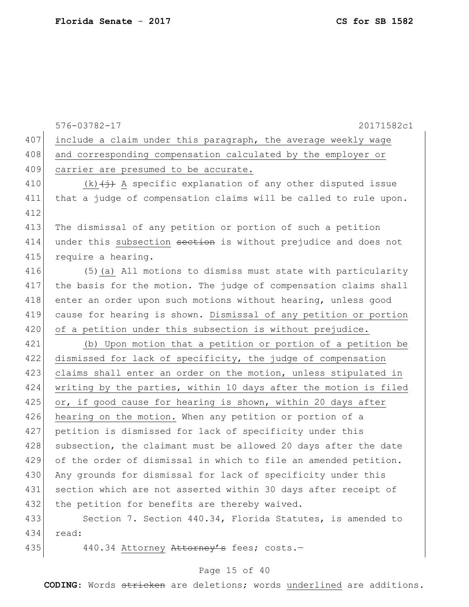|  |  |  | CS for SB 1582 |
|--|--|--|----------------|
|--|--|--|----------------|

|     | 576-03782-17<br>20171582c1                                                        |
|-----|-----------------------------------------------------------------------------------|
| 407 | include a claim under this paragraph, the average weekly wage                     |
| 408 | and corresponding compensation calculated by the employer or                      |
| 409 | carrier are presumed to be accurate.                                              |
| 410 | $(k)$ $\overleftrightarrow{)}$ A specific explanation of any other disputed issue |
| 411 | that a judge of compensation claims will be called to rule upon.                  |
| 412 |                                                                                   |
| 413 | The dismissal of any petition or portion of such a petition                       |
| 414 | under this subsection section is without prejudice and does not                   |
| 415 | require a hearing.                                                                |
| 416 | (5) (a) All motions to dismiss must state with particularity                      |
| 417 | the basis for the motion. The judge of compensation claims shall                  |
| 418 | enter an order upon such motions without hearing, unless good                     |
| 419 | cause for hearing is shown. Dismissal of any petition or portion                  |
| 420 | of a petition under this subsection is without prejudice.                         |
| 421 | (b) Upon motion that a petition or portion of a petition be                       |
| 422 | dismissed for lack of specificity, the judge of compensation                      |
| 423 | claims shall enter an order on the motion, unless stipulated in                   |
| 424 | writing by the parties, within 10 days after the motion is filed                  |
| 425 | or, if good cause for hearing is shown, within 20 days after                      |
| 426 | hearing on the motion. When any petition or portion of a                          |
| 427 | petition is dismissed for lack of specificity under this                          |
| 428 | subsection, the claimant must be allowed 20 days after the date                   |
| 429 | of the order of dismissal in which to file an amended petition.                   |
| 430 | Any grounds for dismissal for lack of specificity under this                      |
| 431 | section which are not asserted within 30 days after receipt of                    |
| 432 | the petition for benefits are thereby waived.                                     |
| 433 | Section 7. Section 440.34, Florida Statutes, is amended to                        |
| 434 | read:                                                                             |
| 435 | 440.34 Attorney Attorney's fees; costs.-                                          |

# Page 15 of 40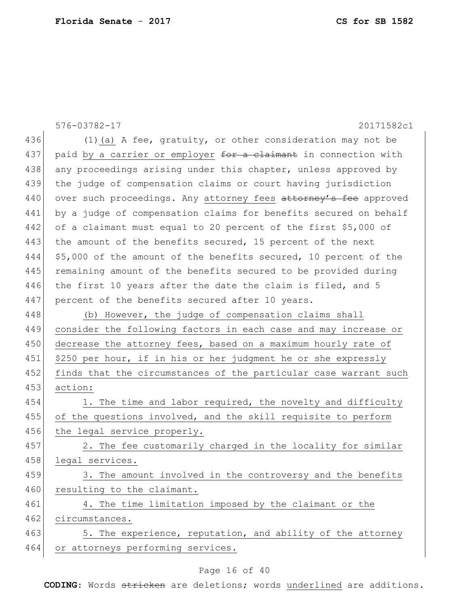|     | 576-03782-17<br>20171582c1                                       |
|-----|------------------------------------------------------------------|
| 436 | $(1)$ (a) A fee, gratuity, or other consideration may not be     |
| 437 | paid by a carrier or employer for a claimant in connection with  |
| 438 | any proceedings arising under this chapter, unless approved by   |
| 439 | the judge of compensation claims or court having jurisdiction    |
| 440 | over such proceedings. Any attorney fees attorney's fee approved |
| 441 | by a judge of compensation claims for benefits secured on behalf |
| 442 | of a claimant must equal to 20 percent of the first \$5,000 of   |
| 443 | the amount of the benefits secured, 15 percent of the next       |
| 444 | \$5,000 of the amount of the benefits secured, 10 percent of the |
| 445 | remaining amount of the benefits secured to be provided during   |
| 446 | the first 10 years after the date the claim is filed, and 5      |
| 447 | percent of the benefits secured after 10 years.                  |
| 448 | (b) However, the judge of compensation claims shall              |
| 449 | consider the following factors in each case and may increase or  |
| 450 | decrease the attorney fees, based on a maximum hourly rate of    |
| 451 | \$250 per hour, if in his or her judgment he or she expressly    |
| 452 | finds that the circumstances of the particular case warrant such |
| 453 | action:                                                          |
| 454 | 1. The time and labor required, the novelty and difficulty       |
| 455 | of the questions involved, and the skill requisite to perform    |
| 456 | the legal service properly.                                      |
| 457 | 2. The fee customarily charged in the locality for similar       |
| 458 | legal services.                                                  |
| 459 | 3. The amount involved in the controversy and the benefits       |
| 460 | resulting to the claimant.                                       |
| 461 | 4. The time limitation imposed by the claimant or the            |
| 462 | circumstances.                                                   |
| 463 | 5. The experience, reputation, and ability of the attorney       |
| 464 | or attorneys performing services.                                |

# Page 16 of 40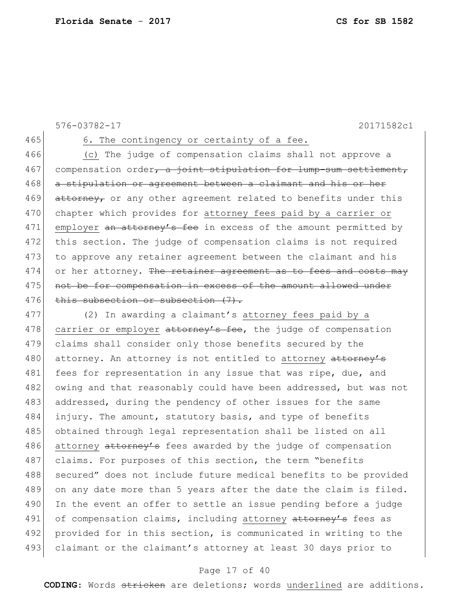```
576-03782-17 20171582c1
```
465 6. The contingency or certainty of a fee.

466 (c) The judge of compensation claims shall not approve a 467 compensation order, a joint stipulation for lump-sum settlement, 468 a stipulation or agreement between a claimant and his or her 469  $atto$  attorney, or any other agreement related to benefits under this 470 chapter which provides for attorney fees paid by a carrier or 471 employer an attorney's fee in excess of the amount permitted by 472 this section. The judge of compensation claims is not required 473 to approve any retainer agreement between the claimant and his  $474$  or her attorney. The retainer agreement as to fees and costs may 475 not be for compensation in excess of the amount allowed under 476 this subsection or subsection (7).

477 (2) In awarding a claimant's attorney fees paid by a 478 carrier or employer attorney's fee, the judge of compensation 479 claims shall consider only those benefits secured by the 480 attorney. An attorney is not entitled to attorney attorney's 481 fees for representation in any issue that was ripe, due, and 482 owing and that reasonably could have been addressed, but was not 483 addressed, during the pendency of other issues for the same 484 injury. The amount, statutory basis, and type of benefits 485 obtained through legal representation shall be listed on all 486 attorney attorney's fees awarded by the judge of compensation 487 claims. For purposes of this section, the term "benefits 488 secured" does not include future medical benefits to be provided 489 on any date more than 5 years after the date the claim is filed. 490 In the event an offer to settle an issue pending before a judge 491 of compensation claims, including attorney attorney's fees as 492 provided for in this section, is communicated in writing to the 493 claimant or the claimant's attorney at least 30 days prior to

#### Page 17 of 40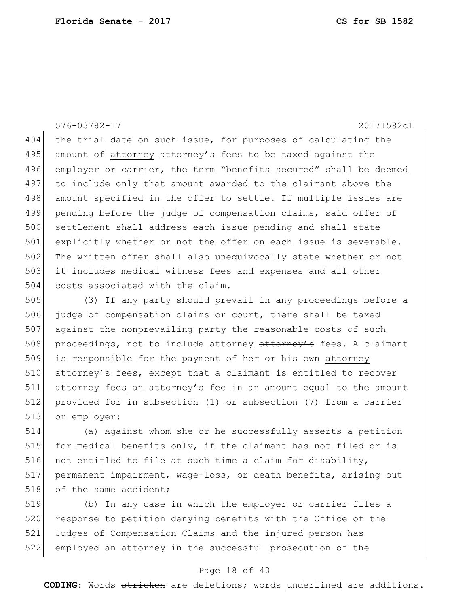576-03782-17 20171582c1

494 the trial date on such issue, for purposes of calculating the 495 amount of attorney attorney's fees to be taxed against the 496 employer or carrier, the term "benefits secured" shall be deemed 497 to include only that amount awarded to the claimant above the 498 amount specified in the offer to settle. If multiple issues are 499 pending before the judge of compensation claims, said offer of 500 settlement shall address each issue pending and shall state 501 explicitly whether or not the offer on each issue is severable. 502 The written offer shall also unequivocally state whether or not 503 it includes medical witness fees and expenses and all other 504 costs associated with the claim.

505 (3) If any party should prevail in any proceedings before a 506 judge of compensation claims or court, there shall be taxed 507 against the nonprevailing party the reasonable costs of such 508 proceedings, not to include attorney attorney's fees. A claimant 509 is responsible for the payment of her or his own attorney 510 attorney's fees, except that a claimant is entitled to recover 511 attorney fees an attorney's fee in an amount equal to the amount 512 provided for in subsection  $(1)$  or subsection  $(7)$  from a carrier 513 or employer:

514 (a) Against whom she or he successfully asserts a petition 515 for medical benefits only, if the claimant has not filed or is 516 not entitled to file at such time a claim for disability, 517 | permanent impairment, wage-loss, or death benefits, arising out 518 of the same accident;

 (b) In any case in which the employer or carrier files a 520 response to petition denying benefits with the Office of the Judges of Compensation Claims and the injured person has employed an attorney in the successful prosecution of the

#### Page 18 of 40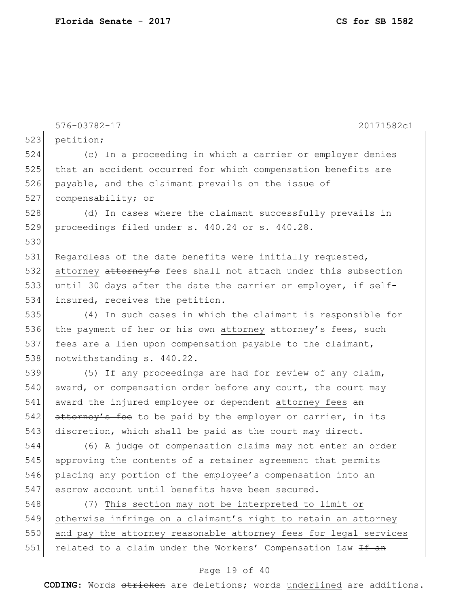576-03782-17 20171582c1 523 petition; 524 (c) In a proceeding in which a carrier or employer denies 525 that an accident occurred for which compensation benefits are 526 payable, and the claimant prevails on the issue of 527 compensability; or 528 (d) In cases where the claimant successfully prevails in 529 proceedings filed under s. 440.24 or s. 440.28. 530 531 Regardless of the date benefits were initially requested, 532 attorney attorney's fees shall not attach under this subsection 533 until 30 days after the date the carrier or employer, if self-534 insured, receives the petition. 535 (4) In such cases in which the claimant is responsible for 536 the payment of her or his own attorney attorney's fees, such 537 fees are a lien upon compensation payable to the claimant, 538 notwithstanding s. 440.22. 539 (5) If any proceedings are had for review of any claim,  $540$  award, or compensation order before any court, the court may 541 award the injured employee or dependent attorney fees an 542 attorney's fee to be paid by the employer or carrier, in its 543 discretion, which shall be paid as the court may direct. 544 (6) A judge of compensation claims may not enter an order 545 approving the contents of a retainer agreement that permits 546 placing any portion of the employee's compensation into an 547 escrow account until benefits have been secured. 548 (7) This section may not be interpreted to limit or 549 otherwise infringe on a claimant's right to retain an attorney 550 and pay the attorney reasonable attorney fees for legal services 551 related to a claim under the Workers' Compensation Law <del>If an</del>

#### Page 19 of 40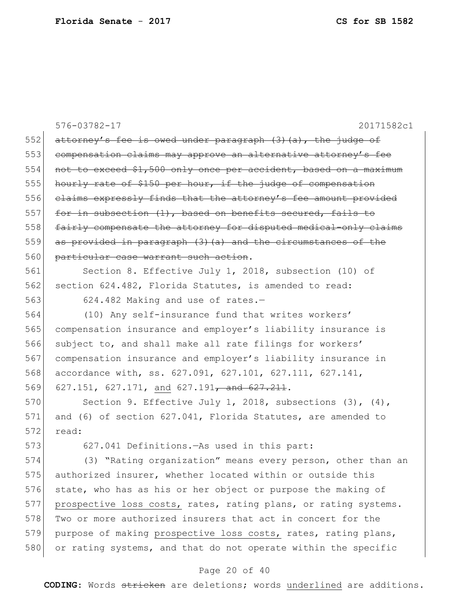|     | 576-03782-17<br>20171582c1                                       |
|-----|------------------------------------------------------------------|
| 552 | attorney's fee is owed under paragraph (3) (a), the judge of     |
| 553 | compensation claims may approve an alternative attorney's fee    |
| 554 | not to exceed \$1,500 only once per accident, based on a maximum |
| 555 | hourly rate of \$150 per hour, if the judge of compensation      |
| 556 | elaims expressly finds that the attorney's fee amount provided   |
| 557 | for in subsection (1), based on benefits secured, fails to       |
| 558 | fairly compensate the attorney for disputed medical-only claims  |
| 559 | as provided in paragraph (3) (a) and the circumstances of the    |
| 560 | particular case warrant such action.                             |
| 561 | Section 8. Effective July 1, 2018, subsection (10) of            |
| 562 | section 624.482, Florida Statutes, is amended to read:           |
| 563 | 624.482 Making and use of rates.-                                |
| 564 | (10) Any self-insurance fund that writes workers'                |
| 565 | compensation insurance and employer's liability insurance is     |
| 566 | subject to, and shall make all rate filings for workers'         |
| 567 | compensation insurance and employer's liability insurance in     |
| 568 | accordance with, ss. 627.091, 627.101, 627.111, 627.141,         |
| 569 | 627.151, 627.171, and 627.191 <del>, and 627.211</del> .         |
| 570 | Section 9. Effective July 1, 2018, subsections $(3)$ , $(4)$ ,   |
| 571 | and (6) of section 627.041, Florida Statutes, are amended to     |
| 572 | read:                                                            |
| 573 | 627.041 Definitions. - As used in this part:                     |
| 574 | (3) "Rating organization" means every person, other than an      |
| 575 | authorized insurer, whether located within or outside this       |
| 576 | state, who has as his or her object or purpose the making of     |
| 577 | prospective loss costs, rates, rating plans, or rating systems.  |
| 578 | Two or more authorized insurers that act in concert for the      |
| 579 | purpose of making prospective loss costs, rates, rating plans,   |
| 580 | or rating systems, and that do not operate within the specific   |

# Page 20 of 40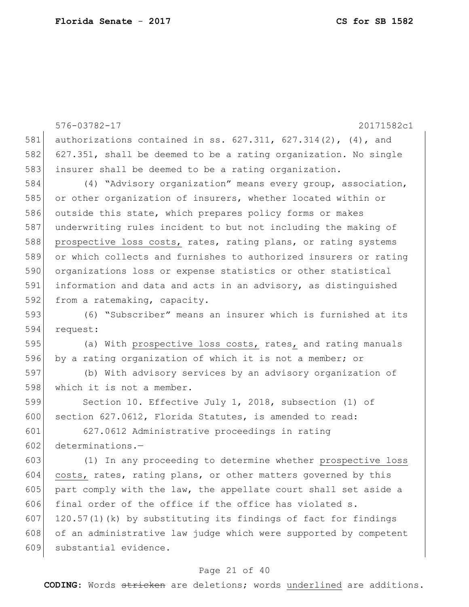|     | 576-03782-17<br>20171582c1                                       |
|-----|------------------------------------------------------------------|
| 581 | authorizations contained in ss. $627.311, 627.314(2)$ , (4), and |
| 582 | 627.351, shall be deemed to be a rating organization. No single  |
| 583 | insurer shall be deemed to be a rating organization.             |
| 584 | (4) "Advisory organization" means every group, association,      |
| 585 | or other organization of insurers, whether located within or     |
| 586 | outside this state, which prepares policy forms or makes         |
| 587 | underwriting rules incident to but not including the making of   |
| 588 | prospective loss costs, rates, rating plans, or rating systems   |
| 589 | or which collects and furnishes to authorized insurers or rating |
| 590 | organizations loss or expense statistics or other statistical    |
| 591 | information and data and acts in an advisory, as distinguished   |
| 592 | from a ratemaking, capacity.                                     |
| 593 | (6) "Subscriber" means an insurer which is furnished at its      |
| 594 | request:                                                         |
| 595 | (a) With prospective loss costs, rates, and rating manuals       |
| 596 | by a rating organization of which it is not a member; or         |
| 597 | (b) With advisory services by an advisory organization of        |
| 598 | which it is not a member.                                        |
| 599 | Section 10. Effective July 1, 2018, subsection (1) of            |
| 600 | section 627.0612, Florida Statutes, is amended to read:          |
| 601 | 627.0612 Administrative proceedings in rating                    |
| 602 | $determinations. -$                                              |
| 603 | (1) In any proceeding to determine whether prospective loss      |
| 604 | costs, rates, rating plans, or other matters governed by this    |
| 605 | part comply with the law, the appellate court shall set aside a  |
| 606 | final order of the office if the office has violated s.          |
| 607 | 120.57(1)(k) by substituting its findings of fact for findings   |
| 608 | of an administrative law judge which were supported by competent |
| 609 | substantial evidence.                                            |

# Page 21 of 40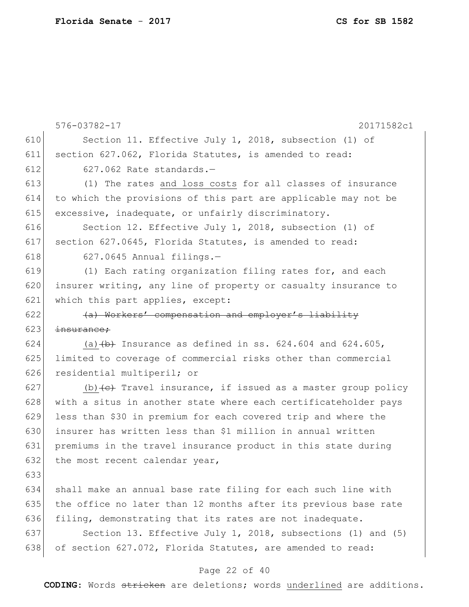|     | $576 - 03782 - 17$<br>20171582c1                                            |
|-----|-----------------------------------------------------------------------------|
| 610 | Section 11. Effective July 1, 2018, subsection (1) of                       |
| 611 | section 627.062, Florida Statutes, is amended to read:                      |
| 612 | 627.062 Rate standards.-                                                    |
| 613 | (1) The rates and loss costs for all classes of insurance                   |
| 614 | to which the provisions of this part are applicable may not be              |
| 615 | excessive, inadequate, or unfairly discriminatory.                          |
| 616 | Section 12. Effective July 1, 2018, subsection (1) of                       |
| 617 | section 627.0645, Florida Statutes, is amended to read:                     |
| 618 | $627.0645$ Annual filings.-                                                 |
| 619 | (1) Each rating organization filing rates for, and each                     |
| 620 | insurer writing, any line of property or casualty insurance to              |
| 621 | which this part applies, except:                                            |
| 622 | (a) Workers' compensation and employer's liability                          |
| 623 | insurance;                                                                  |
| 624 | (a) $(b)$ Insurance as defined in ss. 624.604 and 624.605,                  |
| 625 | limited to coverage of commercial risks other than commercial               |
| 626 | residential multiperil; or                                                  |
| 627 | (b) $\left\{e\right\}$ Travel insurance, if issued as a master group policy |
| 628 | with a situs in another state where each certificateholder pays             |
| 629 | less than \$30 in premium for each covered trip and where the               |
| 630 | insurer has written less than \$1 million in annual written                 |
| 631 | premiums in the travel insurance product in this state during               |
| 632 | the most recent calendar year,                                              |
| 633 |                                                                             |
| 634 | shall make an annual base rate filing for each such line with               |
| 635 | the office no later than 12 months after its previous base rate             |
| 636 | filing, demonstrating that its rates are not inadequate.                    |
| 637 | Section 13. Effective July 1, 2018, subsections (1) and (5)                 |
| 638 | of section 627.072, Florida Statutes, are amended to read:                  |

# Page 22 of 40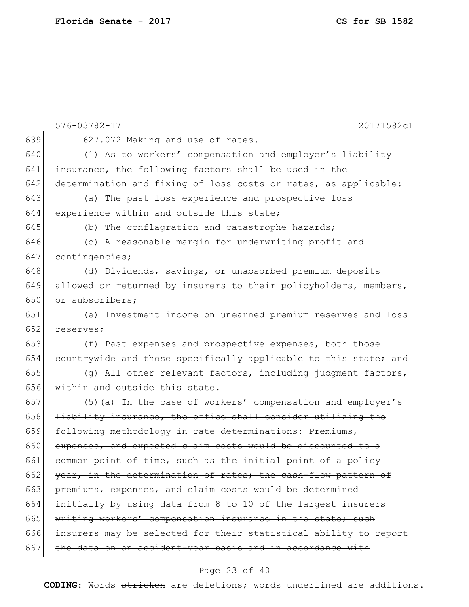| 639<br>627.072 Making and use of rates.-<br>640<br>(1) As to workers' compensation and employer's liability<br>641<br>insurance, the following factors shall be used in the<br>642<br>determination and fixing of loss costs or rates, as applicable:<br>643<br>(a) The past loss experience and prospective loss<br>644<br>experience within and outside this state;<br>645<br>(b) The conflagration and catastrophe hazards;<br>646<br>(c) A reasonable margin for underwriting profit and<br>647<br>contingencies;<br>648<br>(d) Dividends, savings, or unabsorbed premium deposits<br>649<br>allowed or returned by insurers to their policyholders, members,<br>650<br>or subscribers:<br>651<br>(e) Investment income on unearned premium reserves and loss<br>652<br>reserves;<br>653<br>(f) Past expenses and prospective expenses, both those<br>654<br>countrywide and those specifically applicable to this state; and<br>655<br>(g) All other relevant factors, including judgment factors,<br>656<br>within and outside this state. |  |
|--------------------------------------------------------------------------------------------------------------------------------------------------------------------------------------------------------------------------------------------------------------------------------------------------------------------------------------------------------------------------------------------------------------------------------------------------------------------------------------------------------------------------------------------------------------------------------------------------------------------------------------------------------------------------------------------------------------------------------------------------------------------------------------------------------------------------------------------------------------------------------------------------------------------------------------------------------------------------------------------------------------------------------------------------|--|
|                                                                                                                                                                                                                                                                                                                                                                                                                                                                                                                                                                                                                                                                                                                                                                                                                                                                                                                                                                                                                                                  |  |
|                                                                                                                                                                                                                                                                                                                                                                                                                                                                                                                                                                                                                                                                                                                                                                                                                                                                                                                                                                                                                                                  |  |
|                                                                                                                                                                                                                                                                                                                                                                                                                                                                                                                                                                                                                                                                                                                                                                                                                                                                                                                                                                                                                                                  |  |
|                                                                                                                                                                                                                                                                                                                                                                                                                                                                                                                                                                                                                                                                                                                                                                                                                                                                                                                                                                                                                                                  |  |
|                                                                                                                                                                                                                                                                                                                                                                                                                                                                                                                                                                                                                                                                                                                                                                                                                                                                                                                                                                                                                                                  |  |
|                                                                                                                                                                                                                                                                                                                                                                                                                                                                                                                                                                                                                                                                                                                                                                                                                                                                                                                                                                                                                                                  |  |
|                                                                                                                                                                                                                                                                                                                                                                                                                                                                                                                                                                                                                                                                                                                                                                                                                                                                                                                                                                                                                                                  |  |
|                                                                                                                                                                                                                                                                                                                                                                                                                                                                                                                                                                                                                                                                                                                                                                                                                                                                                                                                                                                                                                                  |  |
|                                                                                                                                                                                                                                                                                                                                                                                                                                                                                                                                                                                                                                                                                                                                                                                                                                                                                                                                                                                                                                                  |  |
|                                                                                                                                                                                                                                                                                                                                                                                                                                                                                                                                                                                                                                                                                                                                                                                                                                                                                                                                                                                                                                                  |  |
|                                                                                                                                                                                                                                                                                                                                                                                                                                                                                                                                                                                                                                                                                                                                                                                                                                                                                                                                                                                                                                                  |  |
|                                                                                                                                                                                                                                                                                                                                                                                                                                                                                                                                                                                                                                                                                                                                                                                                                                                                                                                                                                                                                                                  |  |
|                                                                                                                                                                                                                                                                                                                                                                                                                                                                                                                                                                                                                                                                                                                                                                                                                                                                                                                                                                                                                                                  |  |
|                                                                                                                                                                                                                                                                                                                                                                                                                                                                                                                                                                                                                                                                                                                                                                                                                                                                                                                                                                                                                                                  |  |
|                                                                                                                                                                                                                                                                                                                                                                                                                                                                                                                                                                                                                                                                                                                                                                                                                                                                                                                                                                                                                                                  |  |
|                                                                                                                                                                                                                                                                                                                                                                                                                                                                                                                                                                                                                                                                                                                                                                                                                                                                                                                                                                                                                                                  |  |
|                                                                                                                                                                                                                                                                                                                                                                                                                                                                                                                                                                                                                                                                                                                                                                                                                                                                                                                                                                                                                                                  |  |
|                                                                                                                                                                                                                                                                                                                                                                                                                                                                                                                                                                                                                                                                                                                                                                                                                                                                                                                                                                                                                                                  |  |
| 657<br>(5) (a) In the case of workers' compensation and employer's                                                                                                                                                                                                                                                                                                                                                                                                                                                                                                                                                                                                                                                                                                                                                                                                                                                                                                                                                                               |  |
| 658<br>liability insurance, the office shall consider utilizing the                                                                                                                                                                                                                                                                                                                                                                                                                                                                                                                                                                                                                                                                                                                                                                                                                                                                                                                                                                              |  |
| 659<br>following methodology in rate determinations: Premiums,                                                                                                                                                                                                                                                                                                                                                                                                                                                                                                                                                                                                                                                                                                                                                                                                                                                                                                                                                                                   |  |
| 660<br>expenses, and expected claim costs would be discounted to a                                                                                                                                                                                                                                                                                                                                                                                                                                                                                                                                                                                                                                                                                                                                                                                                                                                                                                                                                                               |  |
| 661<br>common point of time, such as the initial point of a policy                                                                                                                                                                                                                                                                                                                                                                                                                                                                                                                                                                                                                                                                                                                                                                                                                                                                                                                                                                               |  |
| 662<br>year, in the determination of rates; the cash-flow pattern of                                                                                                                                                                                                                                                                                                                                                                                                                                                                                                                                                                                                                                                                                                                                                                                                                                                                                                                                                                             |  |
| 663<br>premiums, expenses, and claim costs would be determined                                                                                                                                                                                                                                                                                                                                                                                                                                                                                                                                                                                                                                                                                                                                                                                                                                                                                                                                                                                   |  |
| initially by using data from 8 to 10 of the largest insurers<br>664                                                                                                                                                                                                                                                                                                                                                                                                                                                                                                                                                                                                                                                                                                                                                                                                                                                                                                                                                                              |  |
| 665<br>writing workers' compensation insurance in the state; such                                                                                                                                                                                                                                                                                                                                                                                                                                                                                                                                                                                                                                                                                                                                                                                                                                                                                                                                                                                |  |
| 666<br>insurers may be selected for their statistical ability to report                                                                                                                                                                                                                                                                                                                                                                                                                                                                                                                                                                                                                                                                                                                                                                                                                                                                                                                                                                          |  |
| 667<br>the data on an accident-year basis and in accordance with                                                                                                                                                                                                                                                                                                                                                                                                                                                                                                                                                                                                                                                                                                                                                                                                                                                                                                                                                                                 |  |

# Page 23 of 40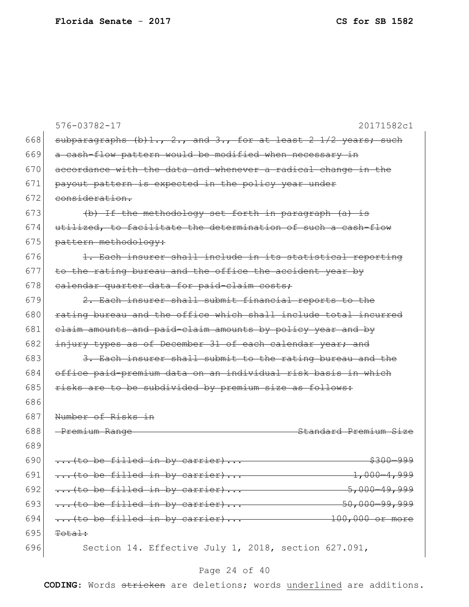|     | 576-03782-17<br>20171582c1                                      |
|-----|-----------------------------------------------------------------|
| 668 | subparagraphs (b)1., 2., and 3., for at least 2 1/2 years; such |
| 669 | a cash-flow pattern would be modified when necessary in         |
| 670 | accordance with the data and whenever a radical change in the   |
| 671 | payout pattern is expected in the policy year under             |
| 672 | consideration.                                                  |
| 673 | (b) If the methodology set forth in paragraph (a) is            |
| 674 | utilized, to facilitate the determination of such a cash-flow   |
| 675 | pattern methodology:                                            |
| 676 | 1. Each insurer shall include in its statistical reporting      |
| 677 | to the rating bureau and the office the accident year by        |
| 678 | ealendar quarter data for paid-claim costs;                     |
| 679 | 2. Each insurer shall submit financial reports to the           |
| 680 | rating bureau and the office which shall include total incurred |
| 681 | elaim amounts and paid-elaim amounts by policy year and by      |
| 682 | injury types as of December 31 of each calendar year; and       |
| 683 | 3. Each insurer shall submit to the rating bureau and the       |
| 684 | office paid-premium data on an individual risk basis in which   |
| 685 | risks are to be subdivided by premium size as follows:          |
| 686 |                                                                 |
| 687 | Number of Risks in                                              |
| 688 | Standard Premium Size<br>-Premium Range                         |
| 689 |                                                                 |
| 690 | (to be filled in by carrier)<br><del>\$300-999</del>            |
| 691 | (to be filled in by carrier) $1,000-4,999$                      |
| 692 |                                                                 |
| 693 |                                                                 |
| 694 | (to be filled in by carrier)<br>$-100,000$ or more              |
| 695 | Total:                                                          |
| 696 | Section 14. Effective July 1, 2018, section 627.091,            |

# Page 24 of 40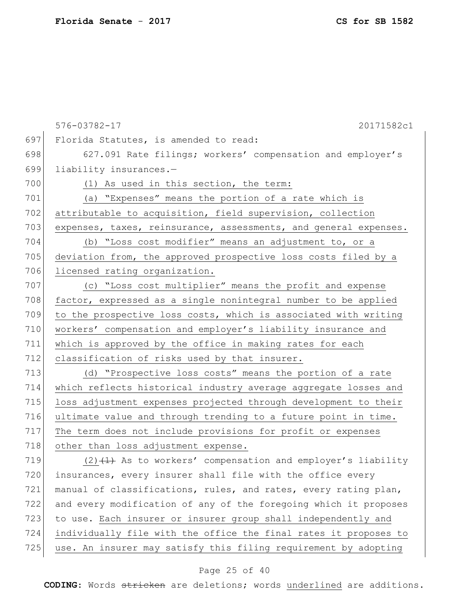576-03782-17 20171582c1 697 Florida Statutes, is amended to read: 698 627.091 Rate filings; workers' compensation and employer's 699 liability insurances.— 700 (1) As used in this section, the term: 701 (a) "Expenses" means the portion of a rate which is 702 attributable to acquisition, field supervision, collection 703 expenses, taxes, reinsurance, assessments, and general expenses. 704 (b) "Loss cost modifier" means an adjustment to, or a 705 deviation from, the approved prospective loss costs filed by a 706 licensed rating organization. 707 (c) "Loss cost multiplier" means the profit and expense 708 factor, expressed as a single nonintegral number to be applied 709 to the prospective loss costs, which is associated with writing 710 workers' compensation and employer's liability insurance and 711 which is approved by the office in making rates for each 712 classification of risks used by that insurer. 713 (d) "Prospective loss costs" means the portion of a rate 714 which reflects historical industry average aggregate losses and 715 loss adjustment expenses projected through development to their 716 ultimate value and through trending to a future point in time. 717 The term does not include provisions for profit or expenses 718 other than loss adjustment expense. 719  $(2)$   $(1)$  As to workers' compensation and employer's liability 720 insurances, every insurer shall file with the office every 721 | manual of classifications, rules, and rates, every rating plan,

 and every modification of any of the foregoing which it proposes to use. Each insurer or insurer group shall independently and individually file with the office the final rates it proposes to 725 use. An insurer may satisfy this filing requirement by adopting

#### Page 25 of 40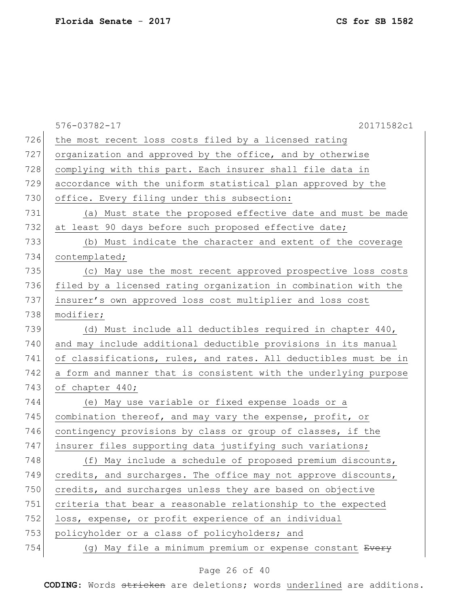|     | 576-03782-17<br>20171582c1                                       |
|-----|------------------------------------------------------------------|
| 726 | the most recent loss costs filed by a licensed rating            |
| 727 | organization and approved by the office, and by otherwise        |
| 728 | complying with this part. Each insurer shall file data in        |
| 729 | accordance with the uniform statistical plan approved by the     |
| 730 | office. Every filing under this subsection:                      |
| 731 | (a) Must state the proposed effective date and must be made      |
| 732 | at least 90 days before such proposed effective date;            |
| 733 | (b) Must indicate the character and extent of the coverage       |
| 734 | contemplated;                                                    |
| 735 | (c) May use the most recent approved prospective loss costs      |
| 736 | filed by a licensed rating organization in combination with the  |
| 737 | insurer's own approved loss cost multiplier and loss cost        |
| 738 | modifier;                                                        |
| 739 | (d) Must include all deductibles required in chapter 440,        |
| 740 | and may include additional deductible provisions in its manual   |
| 741 | of classifications, rules, and rates. All deductibles must be in |
| 742 | a form and manner that is consistent with the underlying purpose |
| 743 | of chapter 440;                                                  |
| 744 | (e) May use variable or fixed expense loads or a                 |
| 745 | combination thereof, and may vary the expense, profit, or        |
| 746 | contingency provisions by class or group of classes, if the      |
| 747 | insurer files supporting data justifying such variations;        |
| 748 | (f) May include a schedule of proposed premium discounts,        |
| 749 | credits, and surcharges. The office may not approve discounts,   |
| 750 | credits, and surcharges unless they are based on objective       |
| 751 | criteria that bear a reasonable relationship to the expected     |
| 752 | loss, expense, or profit experience of an individual             |
| 753 | policyholder or a class of policyholders; and                    |
| 754 | (g) May file a minimum premium or expense constant Every         |

# Page 26 of 40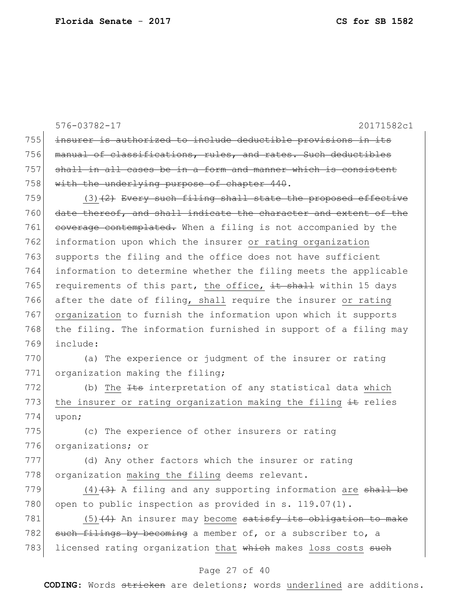|     | 576-03782-17<br>20171582c1                                          |
|-----|---------------------------------------------------------------------|
| 755 | insurer is authorized to include deductible provisions in its       |
| 756 | manual of classifications, rules, and rates. Such deductibles       |
| 757 | shall in all cases be in a form and manner which is consistent      |
| 758 | with the underlying purpose of chapter 440.                         |
| 759 | $(3)$ $(2)$ Every such filing shall state the proposed effective    |
| 760 | date thereof, and shall indicate the character and extent of the    |
| 761 | coverage contemplated. When a filing is not accompanied by the      |
| 762 | information upon which the insurer or rating organization           |
| 763 | supports the filing and the office does not have sufficient         |
| 764 | information to determine whether the filing meets the applicable    |
| 765 | requirements of this part, the office, it shall within 15 days      |
| 766 | after the date of filing, shall require the insurer or rating       |
| 767 | organization to furnish the information upon which it supports      |
| 768 | the filing. The information furnished in support of a filing may    |
| 769 | include:                                                            |
| 770 | (a) The experience or judgment of the insurer or rating             |
| 771 | organization making the filing;                                     |
| 772 | (b) The <del>Its</del> interpretation of any statistical data which |
| 773 | the insurer or rating organization making the filing it relies      |
| 774 | upon;                                                               |
| 775 | (c) The experience of other insurers or rating                      |
| 776 | organizations; or                                                   |
| 777 | (d) Any other factors which the insurer or rating                   |
| 778 | organization making the filing deems relevant.                      |
| 779 | $(4)$ $(3)$ A filing and any supporting information are shall be    |
| 780 | open to public inspection as provided in s. $119.07(1)$ .           |
| 781 | $(5)$ $(4)$ An insurer may become satisfy its obligation to make    |
| 782 | such filings by becoming a member of, or a subscriber to, a         |
| 783 | licensed rating organization that which makes loss costs such       |

# Page 27 of 40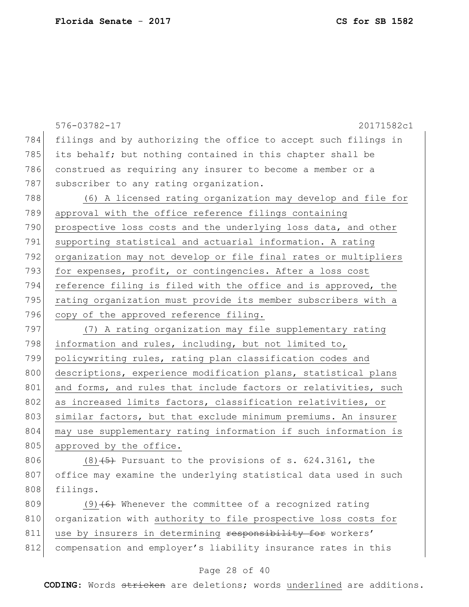|     | 576-03782-17<br>20171582c1                                      |
|-----|-----------------------------------------------------------------|
| 784 | filings and by authorizing the office to accept such filings in |
| 785 | its behalf; but nothing contained in this chapter shall be      |
| 786 | construed as requiring any insurer to become a member or a      |
| 787 | subscriber to any rating organization.                          |
| 788 | (6) A licensed rating organization may develop and file for     |
| 789 | approval with the office reference filings containing           |
| 790 | prospective loss costs and the underlying loss data, and other  |
| 791 | supporting statistical and actuarial information. A rating      |
| 792 | organization may not develop or file final rates or multipliers |
| 793 | for expenses, profit, or contingencies. After a loss cost       |
| 794 | reference filing is filed with the office and is approved, the  |
| 795 | rating organization must provide its member subscribers with a  |
| 796 | copy of the approved reference filing.                          |
| 797 | (7) A rating organization may file supplementary rating         |
| 798 | information and rules, including, but not limited to,           |
| 799 | policywriting rules, rating plan classification codes and       |
| 800 | descriptions, experience modification plans, statistical plans  |
| 801 | and forms, and rules that include factors or relativities, such |
| 802 | as increased limits factors, classification relativities, or    |
| 803 | similar factors, but that exclude minimum premiums. An insurer  |
| 804 | may use supplementary rating information if such information is |
| 805 | approved by the office.                                         |
| 806 | $(8)$ +5) Pursuant to the provisions of s. 624.3161, the        |
| 807 | office may examine the underlying statistical data used in such |
| 808 | filings.                                                        |
| 809 | $(9)$ +6) Whenever the committee of a recognized rating         |
| 810 | organization with authority to file prospective loss costs for  |
| 811 | use by insurers in determining responsibility for workers'      |
| 812 | compensation and employer's liability insurance rates in this   |
|     |                                                                 |
|     | Page 28 of 40                                                   |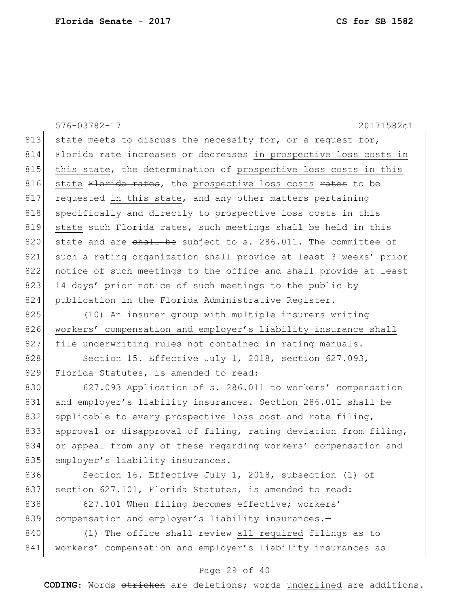576-03782-17 20171582c1 Page 29 of 40 813 state meets to discuss the necessity for, or a request for, 814 Florida rate increases or decreases in prospective loss costs in 815 | this state, the determination of prospective loss costs in this 816 state Florida rates, the prospective loss costs rates to be 817 requested in this state, and any other matters pertaining 818 specifically and directly to prospective loss costs in this 819 state such Florida rates, such meetings shall be held in this 820 state and are  $\frac{1}{2}$  be subject to s. 286.011. The committee of 821 such a rating organization shall provide at least 3 weeks' prior 822 notice of such meetings to the office and shall provide at least 823 14 days' prior notice of such meetings to the public by 824 publication in the Florida Administrative Register. 825 (10) An insurer group with multiple insurers writing 826 workers' compensation and employer's liability insurance shall 827 file underwriting rules not contained in rating manuals. 828 Section 15. Effective July 1, 2018, section 627.093, 829 Florida Statutes, is amended to read: 830 627.093 Application of s. 286.011 to workers' compensation 831 and employer's liability insurances.—Section 286.011 shall be 832 applicable to every prospective loss cost and rate filing, 833 approval or disapproval of filing, rating deviation from filing, 834 or appeal from any of these regarding workers' compensation and 835 employer's liability insurances. 836 Section 16. Effective July 1, 2018, subsection (1) of 837 section 627.101, Florida Statutes, is amended to read: 838 627.101 When filing becomes effective; workers' 839 compensation and employer's liability insurances.-840 (1) The office shall review all required filings as to 841 | workers' compensation and employer's liability insurances as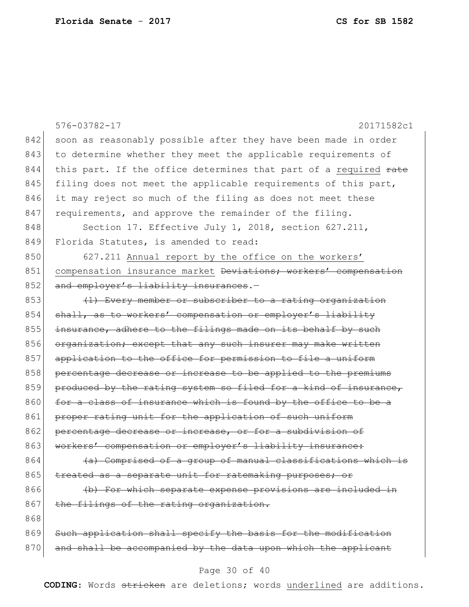|     | $576 - 03782 - 17$<br>20171582c1                                 |
|-----|------------------------------------------------------------------|
| 842 | soon as reasonably possible after they have been made in order   |
| 843 |                                                                  |
|     | to determine whether they meet the applicable requirements of    |
| 844 | this part. If the office determines that part of a required rate |
| 845 | filing does not meet the applicable requirements of this part,   |
| 846 | it may reject so much of the filing as does not meet these       |
| 847 | requirements, and approve the remainder of the filing.           |
| 848 | Section 17. Effective July 1, 2018, section 627.211,             |
| 849 | Florida Statutes, is amended to read:                            |
| 850 | 627.211 Annual report by the office on the workers'              |
| 851 | compensation insurance market Deviations; workers' compensation  |
| 852 | and employer's liability insurances.-                            |
| 853 | (1) Every member or subscriber to a rating organization          |
| 854 | shall, as to workers' compensation or employer's liability       |
| 855 | insurance, adhere to the filings made on its behalf by such      |
| 856 | organization; except that any such insurer may make written      |
| 857 | application to the office for permission to file a uniform       |
| 858 | percentage decrease or increase to be applied to the premiums    |
| 859 | produced by the rating system so filed for a kind of insurance,  |
| 860 | for a class of insurance which is found by the office to be a    |
| 861 | proper rating unit for the application of such uniform           |
| 862 | percentage decrease or increase, or for a subdivision of         |
| 863 | workers' compensation or employer's liability insurance:         |
| 864 | (a) Comprised of a group of manual classifications which is      |
| 865 | treated as a separate unit for ratemaking purposes; or           |
| 866 | (b) For which separate expense provisions are included in        |
| 867 | the filings of the rating organization.                          |
| 868 |                                                                  |
| 869 | Such application shall specify the basis for the modification    |
| 870 | and shall be accompanied by the data upon which the applicant    |

# Page 30 of 40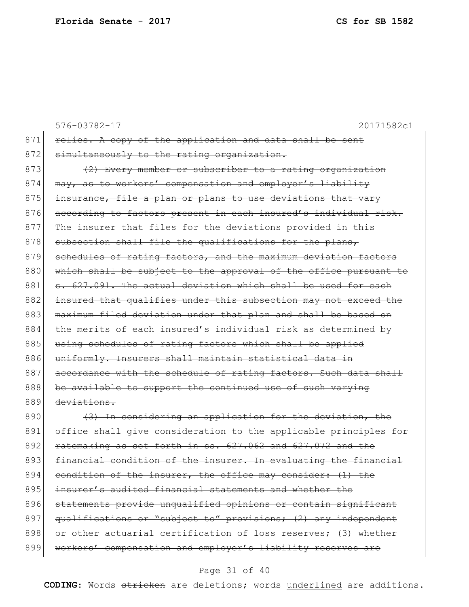|     | $576 - 03782 - 17$<br>20171582c1                                 |
|-----|------------------------------------------------------------------|
| 871 | relies. A copy of the application and data shall be sent         |
| 872 | simultaneously to the rating organization.                       |
| 873 | (2) Every member or subscriber to a rating organization          |
| 874 | may, as to workers' compensation and employer's liability        |
| 875 | insurance, file a plan or plans to use deviations that vary      |
| 876 | according to factors present in each insured's individual risk.  |
| 877 | The insurer that files for the deviations provided in this       |
| 878 | subsection shall file the qualifications for the plans,          |
| 879 | schedules of rating factors, and the maximum deviation factors   |
| 880 | which shall be subject to the approval of the office pursuant to |
| 881 | s. 627.091. The actual deviation which shall be used for each    |
| 882 | insured that qualifies under this subsection may not exceed the  |
| 883 | maximum filed deviation under that plan and shall be based on    |
| 884 | the merits of each insured's individual risk as determined by    |
| 885 | using schedules of rating factors which shall be applied         |
| 886 | uniformly. Insurers shall maintain statistical data in           |
| 887 | accordance with the schedule of rating factors. Such data shall  |
| 888 | be available to support the continued use of such varying        |
| 889 | deviations.                                                      |
| 890 | (3) In considering an application for the deviation, the         |
| 891 | office shall give consideration to the applicable principles for |
| 892 | ratemaking as set forth in ss. 627.062 and 627.072 and the       |
| 893 | financial condition of the insurer. In evaluating the financial  |
| 894 | condition of the insurer, the office may consider: (1) the       |
| 895 | insurer's audited financial statements and whether the           |
| 896 | statements provide unqualified opinions or contain significant   |
| 897 | qualifications or "subject to" provisions; (2) any independent   |
| 898 | or other actuarial certification of loss reserves; (3) whether   |
| 899 | workers' compensation and employer's liability reserves are      |
|     |                                                                  |

# Page 31 of 40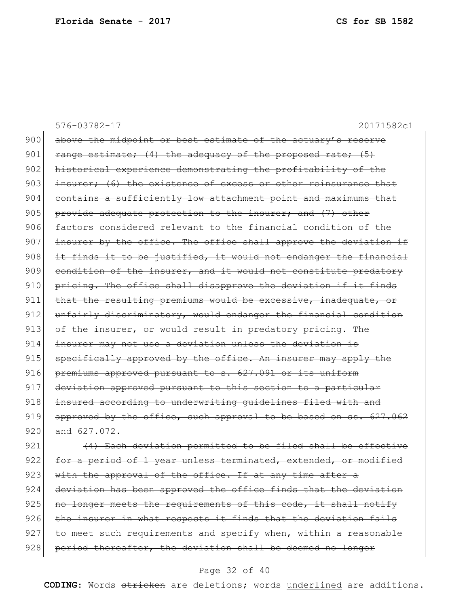|     | $576 - 03782 - 17$<br>20171582c1                                 |
|-----|------------------------------------------------------------------|
| 900 | above the midpoint or best estimate of the actuary's reserve     |
| 901 | range estimate; (4) the adequacy of the proposed rate; (5)       |
| 902 | historical experience demonstrating the profitability of the     |
| 903 | insurer; (6) the existence of excess or other reinsurance that   |
| 904 | contains a sufficiently low attachment point and maximums that   |
| 905 | provide adequate protection to the insurer; and (7) other        |
| 906 | factors considered relevant to the financial condition of the    |
| 907 | insurer by the office. The office shall approve the deviation if |
| 908 | it finds it to be justified, it would not endanger the financial |
| 909 | condition of the insurer, and it would not constitute predatory  |
| 910 | pricing. The office shall disapprove the deviation if it finds   |
| 911 | that the resulting premiums would be excessive, inadequate, or   |
| 912 | unfairly discriminatory, would endanger the financial condition  |
| 913 | of the insurer, or would result in predatory pricing. The        |
| 914 | insurer may not use a deviation unless the deviation is          |
| 915 | specifically approved by the office. An insurer may apply the    |
| 916 | premiums approved pursuant to s. 627.091 or its uniform          |
| 917 | deviation approved pursuant to this section to a particular      |
| 918 | insured according to underwriting quidelines filed with and      |
| 919 | approved by the office, such approval to be based on ss. 627.062 |
| 920 | and 627,072.                                                     |
| 921 | (4) Each deviation permitted to be filed shall be effective      |
| 922 | for a period of 1 year unless terminated, extended, or modified  |
| 923 | with the approval of the office. If at any time after a          |
| 924 | deviation has been approved the office finds that the deviation  |
| 925 | no longer meets the requirements of this code, it shall notify   |

 the insurer in what respects it finds that the deviation fails to meet such requirements and specify when, within a reasonable 928 period thereafter, the deviation shall be deemed no longer

#### Page 32 of 40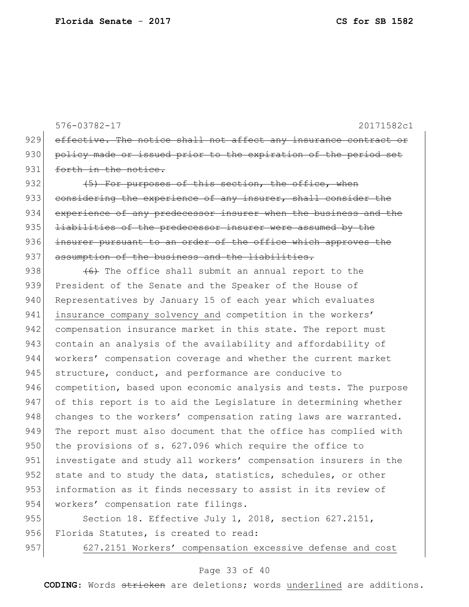576-03782-17 20171582c1 929 effective. The notice shall not affect any insurance contract or 930 policy made or issued prior to the expiration of the period set 931 forth in the notice. 932 (5) For purposes of this section, the office, when 933 considering the experience of any insurer, shall consider the 934 experience of any predecessor insurer when the business and the 935 <del>liabilities of the predecessor insurer were assumed by the</del> 936 insurer pursuant to an order of the office which approves the 937 assumption of the business and the liabilities. 938  $(6)$  The office shall submit an annual report to the 939 President of the Senate and the Speaker of the House of 940 Representatives by January 15 of each year which evaluates 941 insurance company solvency and competition in the workers' 942 compensation insurance market in this state. The report must

943 contain an analysis of the availability and affordability of 944 workers' compensation coverage and whether the current market 945 structure, conduct, and performance are conducive to 946 competition, based upon economic analysis and tests. The purpose 947 of this report is to aid the Legislature in determining whether 948 changes to the workers' compensation rating laws are warranted. 949 The report must also document that the office has complied with 950 the provisions of s. 627.096 which require the office to 951 investigate and study all workers' compensation insurers in the 952 state and to study the data, statistics, schedules, or other 953 information as it finds necessary to assist in its review of 954 workers' compensation rate filings.

955 Section 18. Effective July 1, 2018, section 627.2151, 956 Florida Statutes, is created to read:

957 627.2151 Workers' compensation excessive defense and cost

#### Page 33 of 40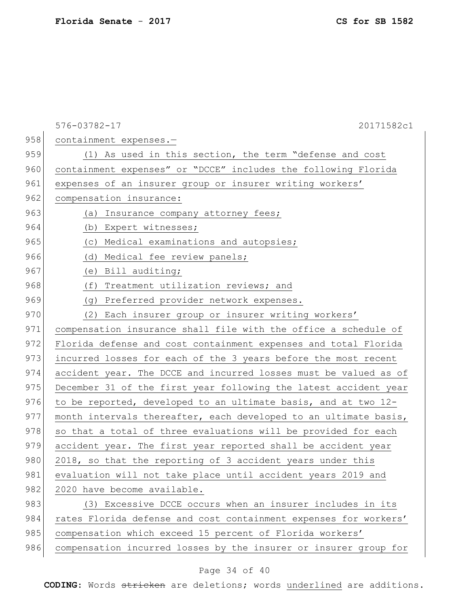|     | 576-03782-17<br>20171582c1                                       |
|-----|------------------------------------------------------------------|
| 958 | containment expenses.-                                           |
| 959 | (1) As used in this section, the term "defense and cost          |
| 960 | containment expenses" or "DCCE" includes the following Florida   |
| 961 | expenses of an insurer group or insurer writing workers'         |
| 962 | compensation insurance:                                          |
| 963 | (a) Insurance company attorney fees;                             |
| 964 | (b) Expert witnesses;                                            |
| 965 | (c) Medical examinations and autopsies;                          |
| 966 | (d) Medical fee review panels;                                   |
| 967 | (e) Bill auditing;                                               |
| 968 | (f) Treatment utilization reviews; and                           |
| 969 | (g) Preferred provider network expenses.                         |
| 970 | (2) Each insurer group or insurer writing workers'               |
| 971 | compensation insurance shall file with the office a schedule of  |
| 972 | Florida defense and cost containment expenses and total Florida  |
| 973 | incurred losses for each of the 3 years before the most recent   |
| 974 | accident year. The DCCE and incurred losses must be valued as of |
| 975 | December 31 of the first year following the latest accident year |
| 976 | to be reported, developed to an ultimate basis, and at two 12-   |
| 977 | month intervals thereafter, each developed to an ultimate basis, |
| 978 | so that a total of three evaluations will be provided for each   |
| 979 | accident year. The first year reported shall be accident year    |
| 980 | 2018, so that the reporting of 3 accident years under this       |
| 981 | evaluation will not take place until accident years 2019 and     |
| 982 | 2020 have become available.                                      |
| 983 | (3) Excessive DCCE occurs when an insurer includes in its        |
| 984 | rates Florida defense and cost containment expenses for workers' |
| 985 | compensation which exceed 15 percent of Florida workers'         |
| 986 | compensation incurred losses by the insurer or insurer group for |

# Page 34 of 40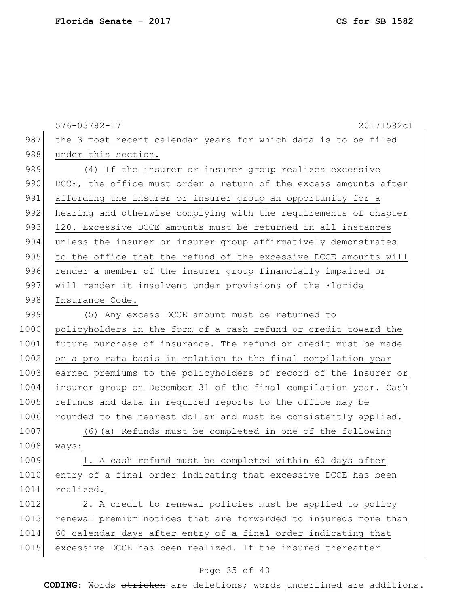576-03782-17 20171582c1 987 the 3 most recent calendar years for which data is to be filed 988 under this section. 989 (4) If the insurer or insurer group realizes excessive 990 DCCE, the office must order a return of the excess amounts after 991 affording the insurer or insurer group an opportunity for a 992 hearing and otherwise complying with the requirements of chapter 993 120. Excessive DCCE amounts must be returned in all instances 994 unless the insurer or insurer group affirmatively demonstrates 995 to the office that the refund of the excessive DCCE amounts will 996 render a member of the insurer group financially impaired or 997 will render it insolvent under provisions of the Florida 998 Insurance Code. 999 (5) Any excess DCCE amount must be returned to 1000 policyholders in the form of a cash refund or credit toward the 1001 future purchase of insurance. The refund or credit must be made 1002 on a pro rata basis in relation to the final compilation year 1003 earned premiums to the policyholders of record of the insurer or 1004 insurer group on December 31 of the final compilation year. Cash 1005 refunds and data in required reports to the office may be 1006 rounded to the nearest dollar and must be consistently applied. 1007 (6)(a) Refunds must be completed in one of the following 1008 ways: 1009 1. A cash refund must be completed within 60 days after 1010 entry of a final order indicating that excessive DCCE has been 1011 realized. 1012 2. A credit to renewal policies must be applied to policy 1013 renewal premium notices that are forwarded to insureds more than 1014 60 calendar days after entry of a final order indicating that 1015 excessive DCCE has been realized. If the insured thereafter

#### Page 35 of 40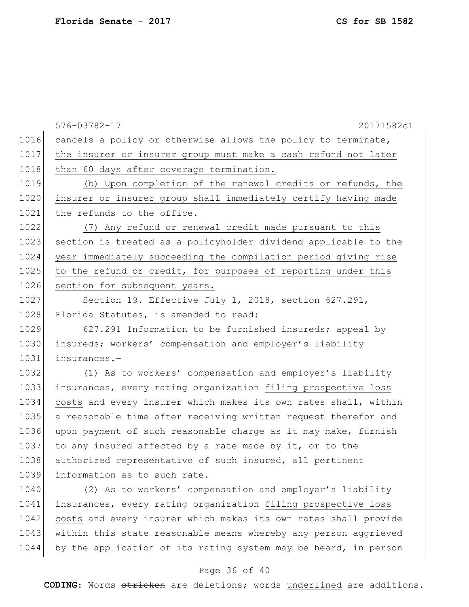|      | $576 - 03782 - 17$<br>20171582c1                                |
|------|-----------------------------------------------------------------|
| 1016 | cancels a policy or otherwise allows the policy to terminate,   |
| 1017 | the insurer or insurer group must make a cash refund not later  |
| 1018 | than 60 days after coverage termination.                        |
| 1019 | (b) Upon completion of the renewal credits or refunds, the      |
| 1020 | insurer or insurer group shall immediately certify having made  |
| 1021 | the refunds to the office.                                      |
| 1022 | (7) Any refund or renewal credit made pursuant to this          |
| 1023 | section is treated as a policyholder dividend applicable to the |
| 1024 | year immediately succeeding the compilation period giving rise  |
| 1025 | to the refund or credit, for purposes of reporting under this   |
| 1026 | section for subsequent years.                                   |
| 1027 | Section 19. Effective July 1, 2018, section 627.291,            |
| 1028 | Florida Statutes, is amended to read:                           |
| 1029 | 627.291 Information to be furnished insureds; appeal by         |
| 1030 | insureds; workers' compensation and employer's liability        |
| 1031 | insurances.-                                                    |
| 1032 | (1) As to workers' compensation and employer's liability        |
| 1033 | insurances, every rating organization filing prospective loss   |
| 1034 | costs and every insurer which makes its own rates shall, within |
| 1035 | a reasonable time after receiving written request therefor and  |
| 1036 | upon payment of such reasonable charge as it may make, furnish  |
| 1037 | to any insured affected by a rate made by it, or to the         |
| 1038 | authorized representative of such insured, all pertinent        |
| 1039 | information as to such rate.                                    |
| 1040 | (2) As to workers' compensation and employer's liability        |
| 1041 | insurances, every rating organization filing prospective loss   |
| 1042 | costs and every insurer which makes its own rates shall provide |
| 1043 | within this state reasonable means whereby any person aggrieved |
| 1044 | by the application of its rating system may be heard, in person |

### Page 36 of 40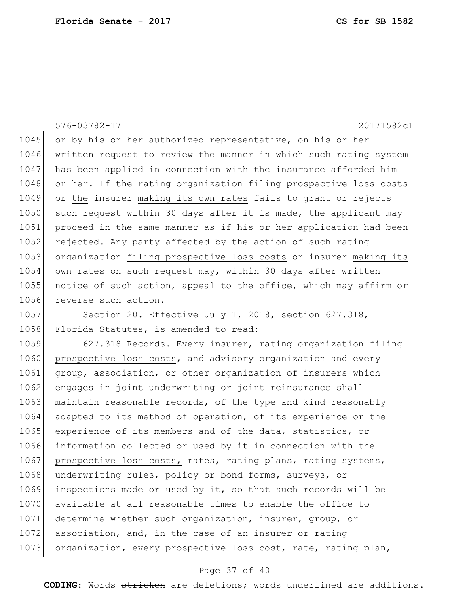1045 or by his or her authorized representative, on his or her 1046 written request to review the manner in which such rating system 1047 has been applied in connection with the insurance afforded him

1048 or her. If the rating organization filing prospective loss costs 1049 or the insurer making its own rates fails to grant or rejects 1050 such request within 30 days after it is made, the applicant may 1051 proceed in the same manner as if his or her application had been 1052 rejected. Any party affected by the action of such rating 1053 organization filing prospective loss costs or insurer making its 1054 own rates on such request may, within 30 days after written 1055 notice of such action, appeal to the office, which may affirm or 1056 reverse such action.

576-03782-17 20171582c1

1057 Section 20. Effective July 1, 2018, section 627.318, 1058 Florida Statutes, is amended to read:

1059 627.318 Records.—Every insurer, rating organization filing 1060 prospective loss costs, and advisory organization and every 1061 group, association, or other organization of insurers which 1062 engages in joint underwriting or joint reinsurance shall 1063 maintain reasonable records, of the type and kind reasonably 1064 adapted to its method of operation, of its experience or the 1065 experience of its members and of the data, statistics, or 1066 information collected or used by it in connection with the 1067 prospective loss costs, rates, rating plans, rating systems, 1068 underwriting rules, policy or bond forms, surveys, or 1069 inspections made or used by it, so that such records will be 1070 available at all reasonable times to enable the office to 1071 determine whether such organization, insurer, group, or 1072 association, and, in the case of an insurer or rating 1073 organization, every prospective loss cost, rate, rating plan,

#### Page 37 of 40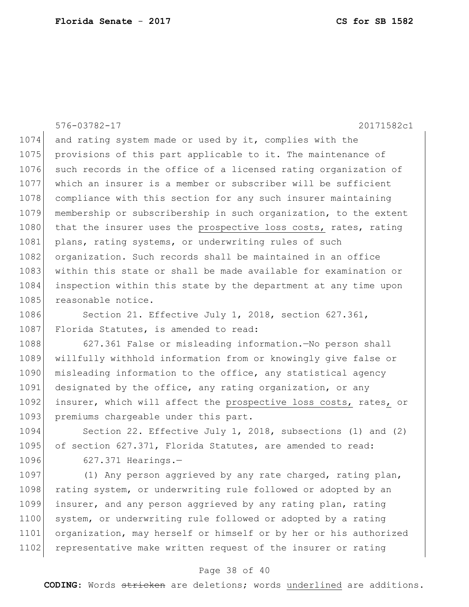576-03782-17 20171582c1 1074 and rating system made or used by it, complies with the 1075 provisions of this part applicable to it. The maintenance of 1076 such records in the office of a licensed rating organization of 1077 which an insurer is a member or subscriber will be sufficient 1078 compliance with this section for any such insurer maintaining 1079 membership or subscribership in such organization, to the extent 1080 that the insurer uses the prospective loss costs, rates, rating 1081 plans, rating systems, or underwriting rules of such 1082 organization. Such records shall be maintained in an office 1083 within this state or shall be made available for examination or 1084 inspection within this state by the department at any time upon 1085 reasonable notice. 1086 Section 21. Effective July 1, 2018, section 627.361, 1087 Florida Statutes, is amended to read:

1088 627.361 False or misleading information.—No person shall 1089 willfully withhold information from or knowingly give false or 1090 misleading information to the office, any statistical agency 1091 designated by the office, any rating organization, or any 1092 insurer, which will affect the prospective loss costs, rates, or 1093 premiums chargeable under this part.

1094 Section 22. Effective July 1, 2018, subsections (1) and (2) 1095 of section 627.371, Florida Statutes, are amended to read: 1096 627.371 Hearings.-

1097 (1) Any person aggrieved by any rate charged, rating plan, 1098 rating system, or underwriting rule followed or adopted by an 1099 insurer, and any person aggrieved by any rating plan, rating 1100 system, or underwriting rule followed or adopted by a rating 1101 organization, may herself or himself or by her or his authorized 1102 representative make written request of the insurer or rating

#### Page 38 of 40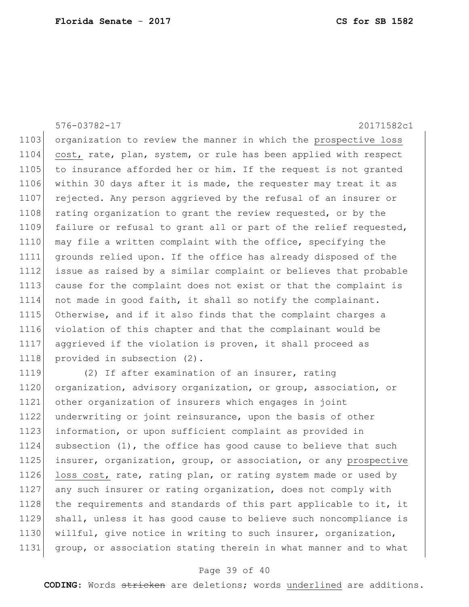576-03782-17 20171582c1 1103 organization to review the manner in which the prospective loss 1104 cost, rate, plan, system, or rule has been applied with respect 1105 to insurance afforded her or him. If the request is not granted 1106 within 30 days after it is made, the requester may treat it as 1107 rejected. Any person aggrieved by the refusal of an insurer or 1108 rating organization to grant the review requested, or by the 1109 failure or refusal to grant all or part of the relief requested, 1110 may file a written complaint with the office, specifying the 1111 grounds relied upon. If the office has already disposed of the 1112 issue as raised by a similar complaint or believes that probable 1113 cause for the complaint does not exist or that the complaint is 1114 not made in good faith, it shall so notify the complainant. 1115 Otherwise, and if it also finds that the complaint charges a 1116 violation of this chapter and that the complainant would be 1117 aggrieved if the violation is proven, it shall proceed as 1118 provided in subsection (2). 1119 (2) If after examination of an insurer, rating

1120 organization, advisory organization, or group, association, or other organization of insurers which engages in joint underwriting or joint reinsurance, upon the basis of other information, or upon sufficient complaint as provided in subsection (1), the office has good cause to believe that such 1125 insurer, organization, group, or association, or any prospective 1126 loss cost, rate, rating plan, or rating system made or used by any such insurer or rating organization, does not comply with 1128 the requirements and standards of this part applicable to it, it shall, unless it has good cause to believe such noncompliance is willful, give notice in writing to such insurer, organization, group, or association stating therein in what manner and to what

#### Page 39 of 40